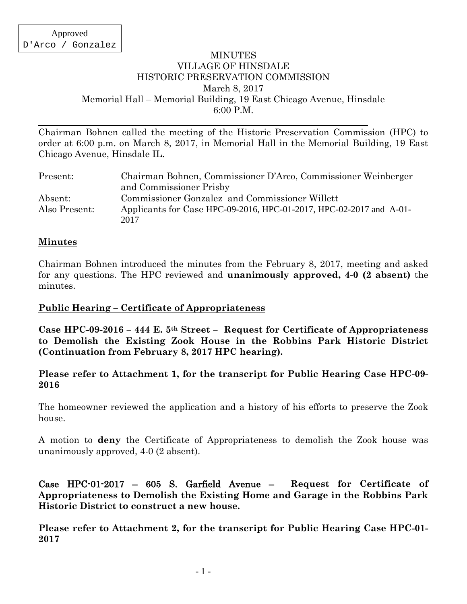### MINUTES VILLAGE OF HINSDALE HISTORIC PRESERVATION COMMISSION March 8, 2017 Memorial Hall – Memorial Building, 19 East Chicago Avenue, Hinsdale 6:00 P.M.

Chairman Bohnen called the meeting of the Historic Preservation Commission (HPC) to order at 6:00 p.m. on March 8, 2017, in Memorial Hall in the Memorial Building, 19 East Chicago Avenue, Hinsdale IL.

| Present:      | Chairman Bohnen, Commissioner D'Arco, Commissioner Weinberger               |
|---------------|-----------------------------------------------------------------------------|
|               | and Commissioner Prisby                                                     |
| Absent:       | Commissioner Gonzalez and Commissioner Willett                              |
| Also Present: | Applicants for Case HPC-09-2016, HPC-01-2017, HPC-02-2017 and A-01-<br>2017 |

### **Minutes**

Chairman Bohnen introduced the minutes from the February 8, 2017, meeting and asked for any questions. The HPC reviewed and **unanimously approved, 4-0 (2 absent)** the minutes.

### **Public Hearing – Certificate of Appropriateness**

**Case HPC-09-2016 – 444 E. 5th Street – Request for Certificate of Appropriateness to Demolish the Existing Zook House in the Robbins Park Historic District (Continuation from February 8, 2017 HPC hearing).**

### **Please refer to Attachment 1, for the transcript for Public Hearing Case HPC-09- 2016**

The homeowner reviewed the application and a history of his efforts to preserve the Zook house.

A motion to **deny** the Certificate of Appropriateness to demolish the Zook house was unanimously approved, 4-0 (2 absent).

Case HPC-01-2017 – 605 S. Garfield Avenue – **Request for Certificate of Appropriateness to Demolish the Existing Home and Garage in the Robbins Park Historic District to construct a new house.**

**Please refer to Attachment 2, for the transcript for Public Hearing Case HPC-01- 2017**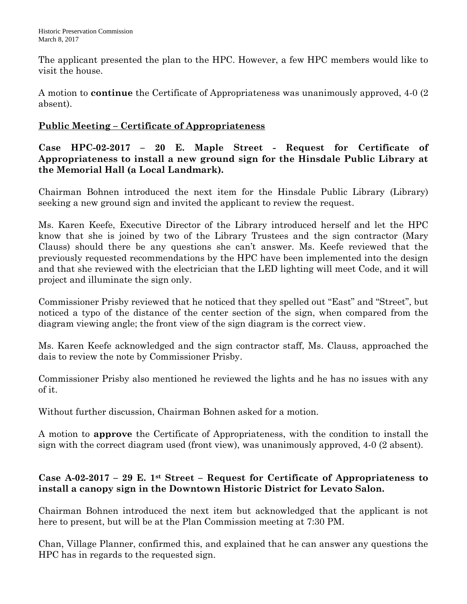The applicant presented the plan to the HPC. However, a few HPC members would like to visit the house.

A motion to **continue** the Certificate of Appropriateness was unanimously approved, 4-0 (2 absent).

# **Public Meeting – Certificate of Appropriateness**

**Case HPC-02-2017 – 20 E. Maple Street - Request for Certificate of Appropriateness to install a new ground sign for the Hinsdale Public Library at the Memorial Hall (a Local Landmark).**

Chairman Bohnen introduced the next item for the Hinsdale Public Library (Library) seeking a new ground sign and invited the applicant to review the request.

Ms. Karen Keefe, Executive Director of the Library introduced herself and let the HPC know that she is joined by two of the Library Trustees and the sign contractor (Mary Clauss) should there be any questions she can't answer. Ms. Keefe reviewed that the previously requested recommendations by the HPC have been implemented into the design and that she reviewed with the electrician that the LED lighting will meet Code, and it will project and illuminate the sign only.

Commissioner Prisby reviewed that he noticed that they spelled out "East" and "Street", but noticed a typo of the distance of the center section of the sign, when compared from the diagram viewing angle; the front view of the sign diagram is the correct view.

Ms. Karen Keefe acknowledged and the sign contractor staff, Ms. Clauss, approached the dais to review the note by Commissioner Prisby.

Commissioner Prisby also mentioned he reviewed the lights and he has no issues with any of it.

Without further discussion, Chairman Bohnen asked for a motion.

A motion to **approve** the Certificate of Appropriateness, with the condition to install the sign with the correct diagram used (front view), was unanimously approved, 4-0 (2 absent).

# **Case A-02-2017 – 29 E. 1st Street – Request for Certificate of Appropriateness to install a canopy sign in the Downtown Historic District for Levato Salon.**

Chairman Bohnen introduced the next item but acknowledged that the applicant is not here to present, but will be at the Plan Commission meeting at 7:30 PM.

Chan, Village Planner, confirmed this, and explained that he can answer any questions the HPC has in regards to the requested sign.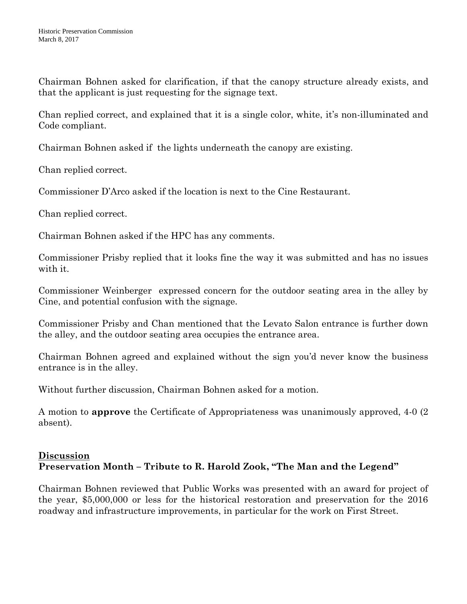Chairman Bohnen asked for clarification, if that the canopy structure already exists, and that the applicant is just requesting for the signage text.

Chan replied correct, and explained that it is a single color, white, it's non-illuminated and Code compliant.

Chairman Bohnen asked if the lights underneath the canopy are existing.

Chan replied correct.

Commissioner D'Arco asked if the location is next to the Cine Restaurant.

Chan replied correct.

Chairman Bohnen asked if the HPC has any comments.

Commissioner Prisby replied that it looks fine the way it was submitted and has no issues with it.

Commissioner Weinberger expressed concern for the outdoor seating area in the alley by Cine, and potential confusion with the signage.

Commissioner Prisby and Chan mentioned that the Levato Salon entrance is further down the alley, and the outdoor seating area occupies the entrance area.

Chairman Bohnen agreed and explained without the sign you'd never know the business entrance is in the alley.

Without further discussion, Chairman Bohnen asked for a motion.

A motion to **approve** the Certificate of Appropriateness was unanimously approved, 4-0 (2 absent).

## **Discussion Preservation Month – Tribute to R. Harold Zook, "The Man and the Legend"**

Chairman Bohnen reviewed that Public Works was presented with an award for project of the year, \$5,000,000 or less for the historical restoration and preservation for the 2016 roadway and infrastructure improvements, in particular for the work on First Street.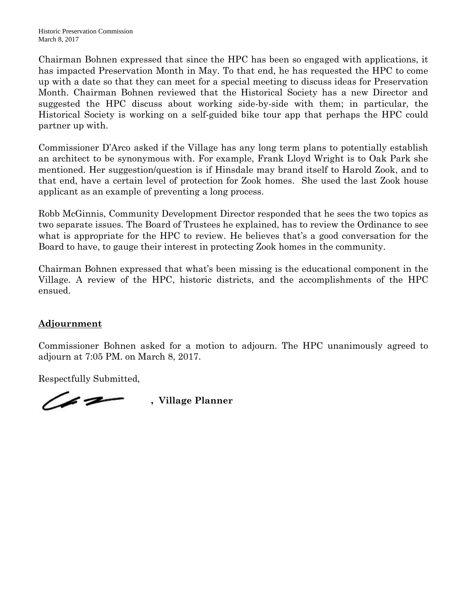Chairman Bohnen expressed that since the HPC has been so engaged with applications, it has impacted Preservation Month in May. To that end, he has requested the HPC to come up with a date so that they can meet for a special meeting to discuss ideas for Preservation Month. Chairman Bohnen reviewed that the Historical Society has a new Director and suggested the HPC discuss about working side-by-side with them; in particular, the Historical Society is working on a self-guided bike tour app that perhaps the HPC could partner up with.

Commissioner D'Arco asked if the Village has any long term plans to potentially establish an architect to be synonymous with. For example, Frank Lloyd Wright is to Oak Park she mentioned. Her suggestion/question is if Hinsdale may brand itself to Harold Zook, and to that end, have a certain level of protection for Zook homes. She used the last Zook house applicant as an example of preventing a long process.

Robb McGinnis, Community Development Director responded that he sees the two topics as two separate issues. The Board of Trustees he explained, has to review the Ordinance to see what is appropriate for the HPC to review. He believes that's a good conversation for the Board to have, to gauge their interest in protecting Zook homes in the community.

Chairman Bohnen expressed that what's been missing is the educational component in the Village. A review of the HPC, historic districts, and the accomplishments of the HPC ensued.

## **Adjournment**

Commissioner Bohnen asked for a motion to adjourn. The HPC unanimously agreed to adjourn at 7:05 PM. on March 8, 2017.

Respectfully Submitted,

*Channer* , Village Planner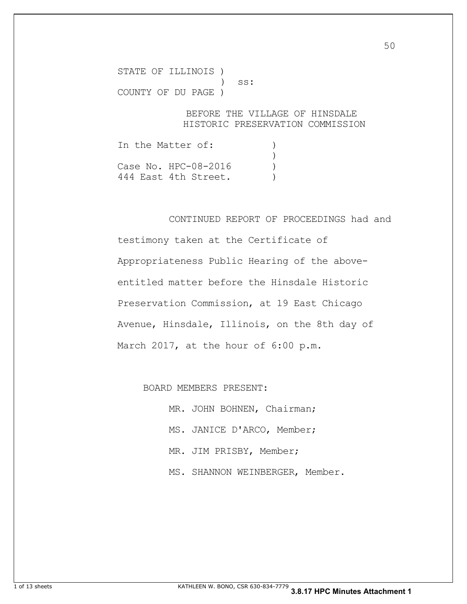STATE OF ILLINOIS ) ) ss: COUNTY OF DU PAGE )

#### BEFORE THE VILLAGE OF HINSDALE HISTORIC PRESERVATION COMMISSION

In the Matter of: (1)  $\overline{\phantom{a}}$ Case No. HPC-08-2016 ) 444 East 4th Street.

CONTINUED REPORT OF PROCEEDINGS had and

testimony taken at the Certificate of Appropriateness Public Hearing of the aboveentitled matter before the Hinsdale Historic Preservation Commission, at 19 East Chicago Avenue, Hinsdale, Illinois, on the 8th day of March 2017, at the hour of 6:00 p.m.

BOARD MEMBERS PRESENT:

MR. JOHN BOHNEN, Chairman; MS. JANICE D'ARCO, Member; MR. JIM PRISBY, Member; MS. SHANNON WEINBERGER, Member.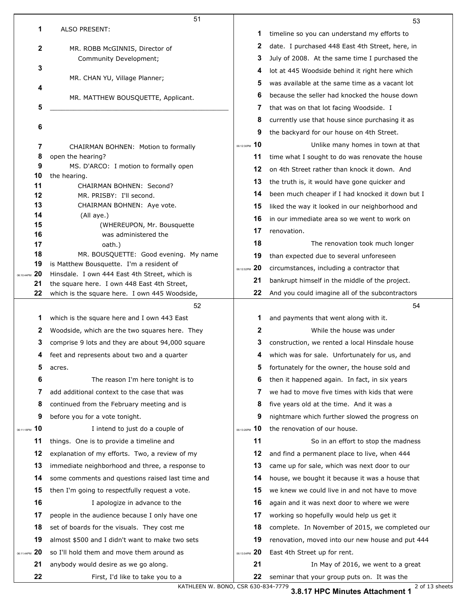|                        | 51                                                                                           |                  | 53                                               |
|------------------------|----------------------------------------------------------------------------------------------|------------------|--------------------------------------------------|
| 1                      | ALSO PRESENT:                                                                                | 1                | timeline so you can understand my efforts to     |
| 2                      | MR. ROBB McGINNIS, Director of                                                               | 2                | date. I purchased 448 East 4th Street, here, in  |
|                        | Community Development;                                                                       | 3                | July of 2008. At the same time I purchased the   |
| 3                      |                                                                                              | 4                | lot at 445 Woodside behind it right here which   |
|                        | MR. CHAN YU, Village Planner;                                                                | 5                | was available at the same time as a vacant lot   |
| 4                      | MR. MATTHEW BOUSQUETTE, Applicant.                                                           | 6                | because the seller had knocked the house down    |
| 5                      |                                                                                              | 7                | that was on that lot facing Woodside. I          |
|                        |                                                                                              | 8                | currently use that house since purchasing it as  |
| 6                      |                                                                                              | 9                | the backyard for our house on 4th Street.        |
| 7                      | CHAIRMAN BOHNEN: Motion to formally                                                          | 10<br>06:12:30PM | Unlike many homes in town at that                |
| 8                      | open the hearing?                                                                            | 11               | time what I sought to do was renovate the house  |
| 9                      | MS. D'ARCO: I motion to formally open                                                        | 12               | on 4th Street rather than knock it down. And     |
| 10<br>11               | the hearing.<br>CHAIRMAN BOHNEN: Second?                                                     | 13               | the truth is, it would have gone quicker and     |
| 12                     | MR. PRISBY: I'll second.                                                                     | 14               | been much cheaper if I had knocked it down but I |
| 13                     | CHAIRMAN BOHNEN: Aye vote.                                                                   | 15               | liked the way it looked in our neighborhood and  |
| 14                     | (All aye.)                                                                                   | 16               | in our immediate area so we went to work on      |
| 15<br>16               | (WHEREUPON, Mr. Bousquette<br>was administered the                                           | 17               | renovation.                                      |
| 17                     | oath.)                                                                                       | 18               | The renovation took much longer                  |
| 18                     | MR. BOUSQUETTE: Good evening. My name                                                        | 19               | than expected due to several unforeseen          |
| 19                     | is Matthew Bousquette. I'm a resident of                                                     | 06:12:52PM 20    | circumstances, including a contractor that       |
| 20<br>06:10:44PM<br>21 | Hinsdale. I own 444 East 4th Street, which is<br>the square here. I own 448 East 4th Street, | 21               | bankrupt himself in the middle of the project.   |
| 22                     | which is the square here. I own 445 Woodside,                                                | 22               | And you could imagine all of the subcontractors  |
|                        | 52                                                                                           |                  | 54                                               |
| 1                      | which is the square here and I own 443 East                                                  | 1                | and payments that went along with it.            |
| 2                      | Woodside, which are the two squares here. They                                               | 2                | While the house was under                        |
| 3                      | comprise 9 lots and they are about 94,000 square                                             | 3                | construction, we rented a local Hinsdale house   |
| 4                      | feet and represents about two and a quarter                                                  | 4                | which was for sale. Unfortunately for us, and    |
| 5                      | acres.                                                                                       | 5                | fortunately for the owner, the house sold and    |
| 6                      | The reason I'm here tonight is to                                                            | 6                | then it happened again. In fact, in six years    |
| 7                      | add additional context to the case that was                                                  | 7                | we had to move five times with kids that were    |
| 8                      | continued from the February meeting and is                                                   | 8                | five years old at the time. And it was a         |
| 9                      | before you for a vote tonight.                                                               | 9                | nightmare which further slowed the progress on   |
| 10<br>06:11:18PM       | I intend to just do a couple of                                                              | 10<br>06:13:26PM | the renovation of our house.                     |
| 11                     |                                                                                              |                  |                                                  |
| 12                     | things. One is to provide a timeline and                                                     | 11               | So in an effort to stop the madness              |
| 13                     | explanation of my efforts. Two, a review of my                                               | 12               | and find a permanent place to live, when 444     |
|                        | immediate neighborhood and three, a response to                                              | 13               | came up for sale, which was next door to our     |
| 14                     | some comments and questions raised last time and                                             | 14               | house, we bought it because it was a house that  |
| 15                     | then I'm going to respectfully request a vote.                                               | 15               | we knew we could live in and not have to move    |
| 16                     | I apologize in advance to the                                                                | 16               | again and it was next door to where we were      |
| 17                     | people in the audience because I only have one                                               | 17               | working so hopefully would help us get it        |
| 18                     | set of boards for the visuals. They cost me                                                  | 18               | complete. In November of 2015, we completed our  |
| 19                     | almost \$500 and I didn't want to make two sets                                              | 19               | renovation, moved into our new house and put 444 |
| 20<br>06:11:44PM       | so I'll hold them and move them around as                                                    | 20<br>06:13:54PM | East 4th Street up for rent.                     |
| 21                     | anybody would desire as we go along.                                                         | 21               | In May of 2016, we went to a great               |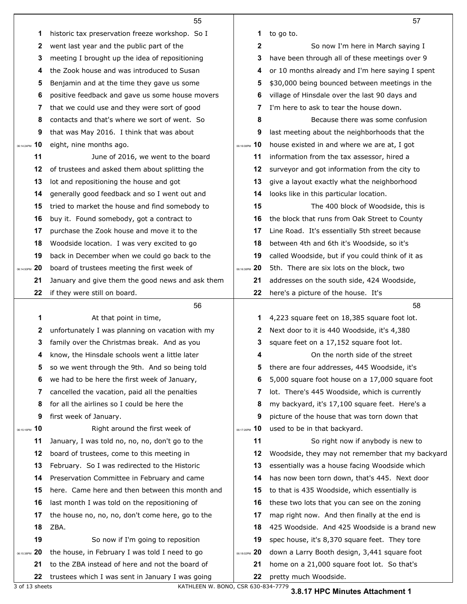|                  | 55                                               |                  | 57                                               |
|------------------|--------------------------------------------------|------------------|--------------------------------------------------|
| 1                | historic tax preservation freeze workshop. So I  | 1                | to go to.                                        |
| 2                | went last year and the public part of the        | $\mathbf{2}$     | So now I'm here in March saying I                |
| 3                | meeting I brought up the idea of repositioning   | 3                | have been through all of these meetings over 9   |
| 4                | the Zook house and was introduced to Susan       | 4                | or 10 months already and I'm here saying I spent |
| 5                | Benjamin and at the time they gave us some       | 5                | \$30,000 being bounced between meetings in the   |
| 6                | positive feedback and gave us some house movers  | 6                | village of Hinsdale over the last 90 days and    |
| 7                | that we could use and they were sort of good     | 7                | I'm here to ask to tear the house down.          |
| 8                | contacts and that's where we sort of went. So    | 8                | Because there was some confusion                 |
| 9                | that was May 2016. I think that was about        | 9                | last meeting about the neighborhoods that the    |
| 10<br>06:14:24PM | eight, nine months ago.                          | 10<br>06:16:08PM | house existed in and where we are at, I got      |
| 11               | June of 2016, we went to the board               | 11               | information from the tax assessor, hired a       |
| 12               | of trustees and asked them about splitting the   | 12               | surveyor and got information from the city to    |
| 13               | lot and repositioning the house and got          | 13               | give a layout exactly what the neighborhood      |
| 14               | generally good feedback and so I went out and    | 14               | looks like in this particular location.          |
| 15               | tried to market the house and find somebody to   | 15               | The 400 block of Woodside, this is               |
| 16               | buy it. Found somebody, got a contract to        | 16               | the block that runs from Oak Street to County    |
| 17               | purchase the Zook house and move it to the       | 17               | Line Road. It's essentially 5th street because   |
| 18               | Woodside location. I was very excited to go      | 18               | between 4th and 6th it's Woodside, so it's       |
| 19               | back in December when we could go back to the    | 19               | called Woodside, but if you could think of it as |
| 20<br>06:14:50PM | board of trustees meeting the first week of      | 06:16:38PM 20    | 5th. There are six lots on the block, two        |
| 21               | January and give them the good news and ask them | 21               | addresses on the south side, 424 Woodside,       |
| 22               | if they were still on board.                     | 22               | here's a picture of the house. It's              |
|                  | 56                                               |                  | 58                                               |
| 1                | At that point in time,                           | 1                | 4,223 square feet on 18,385 square foot lot.     |
| 2                | unfortunately I was planning on vacation with my | 2                | Next door to it is 440 Woodside, it's 4,380      |
| 3                | family over the Christmas break. And as you      | 3                | square feet on a 17,152 square foot lot.         |
| 4                | know, the Hinsdale schools went a little later   | 4                | On the north side of the street                  |
| 5                | so we went through the 9th. And so being told    | 5                | there are four addresses, 445 Woodside, it's     |
| 6                | we had to be here the first week of January,     | 6                | 5,000 square foot house on a 17,000 square foot  |
| 7                | cancelled the vacation, paid all the penalties   | 7                | lot. There's 445 Woodside, which is currently    |
| 8                | for all the airlines so I could be here the      | 8                |                                                  |
| 9                |                                                  |                  | my backyard, it's 17,100 square feet. Here's a   |
| 06:15:16PM 10    | first week of January.                           | 9                | picture of the house that was torn down that     |
| 11               | Right around the first week of                   | 06:17:26PM 10    | used to be in that backyard.                     |
|                  | January, I was told no, no, no, don't go to the  | 11               | So right now if anybody is new to                |
| 12               | board of trustees, come to this meeting in       | 12               | Woodside, they may not remember that my backyard |
| 13               | February. So I was redirected to the Historic    | 13               | essentially was a house facing Woodside which    |
| 14               | Preservation Committee in February and came      | 14               | has now been torn down, that's 445. Next door    |
| 15               | here. Came here and then between this month and  | 15               | to that is 435 Woodside, which essentially is    |
| 16               | last month I was told on the repositioning of    | 16               | these two lots that you can see on the zoning    |
| 17               | the house no, no, no, don't come here, go to the | 17               | map right now. And then finally at the end is    |
| 18               | ZBA.                                             | 18               | 425 Woodside. And 425 Woodside is a brand new    |
| 19               | So now if I'm going to reposition                | 19               | spec house, it's 8,370 square feet. They tore    |
| 20<br>06:15:38PM | the house, in February I was told I need to go   | 06:18:02PM 20    | down a Larry Booth design, 3,441 square foot     |
| 21               | to the ZBA instead of here and not the board of  | 21               | home on a 21,000 square foot lot. So that's      |

 $\mathbf{I}$ 

3 of 13 sheets KATHLEEN W. BONO, CSR 630-834-7779

**3.8.17 HPC Minutes Attachment 1**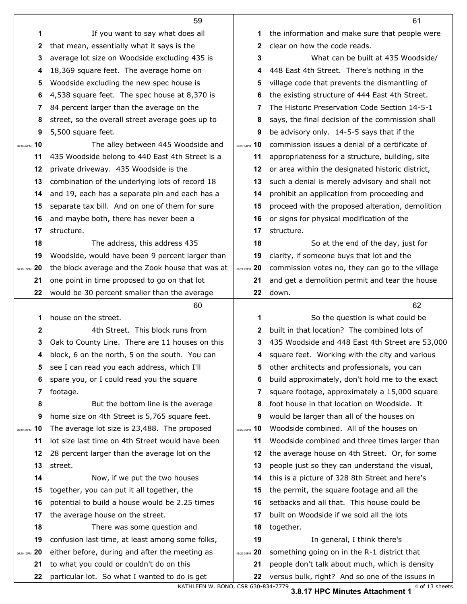|                  | 59                                               |                  | 61                                               |
|------------------|--------------------------------------------------|------------------|--------------------------------------------------|
| 1                | If you want to say what does all                 | 1                | the information and make sure that people were   |
| 2                | that mean, essentially what it says is the       | 2                | clear on how the code reads.                     |
| 3                | average lot size on Woodside excluding 435 is    | 3                | What can be built at 435 Woodside/               |
| 4                | 18,369 square feet. The average home on          | 4                | 448 East 4th Street. There's nothing in the      |
| 5                | Woodside excluding the new spec house is         | 5                | village code that prevents the dismantling of    |
| 6                | 4,538 square feet. The spec house at 8,370 is    | 6                | the existing structure of 444 East 4th Street.   |
| 7                | 84 percent larger than the average on the        | 7                | The Historic Preservation Code Section 14-5-1    |
| 8                | street, so the overall street average goes up to | 8                | says, the final decision of the commission shall |
| 9                | 5,500 square feet.                               | 9                | be advisory only. 14-5-5 says that if the        |
| 06:18:42PM 10    | The alley between 445 Woodside and               | 06:20:54PM 10    | commission issues a denial of a certificate of   |
| 11               | 435 Woodside belong to 440 East 4th Street is a  | 11               | appropriateness for a structure, building, site  |
| 12               | private driveway. 435 Woodside is the            | 12               | or area within the designated historic district, |
| 13               | combination of the underlying lots of record 18  | 13               | such a denial is merely advisory and shall not   |
| 14               | and 19, each has a separate pin and each has a   | 14               | prohibit an application from proceeding and      |
| 15               | separate tax bill. And on one of them for sure   | 15               | proceed with the proposed alteration, demolition |
| 16               | and maybe both, there has never been a           | 16               | or signs for physical modification of the        |
| 17               | structure.                                       | 17               | structure.                                       |
| 18               | The address, this address 435                    | 18               | So at the end of the day, just for               |
| 19               | Woodside, would have been 9 percent larger than  | 19               | clarity, if someone buys that lot and the        |
| 20<br>06:19:10PM | the block average and the Zook house that was at | 06:21:22PM 20    | commission votes no, they can go to the village  |
| 21               | one point in time proposed to go on that lot     | 21               | and get a demolition permit and tear the house   |
| 22               | would be 30 percent smaller than the average     | 22               | down.                                            |
|                  |                                                  |                  |                                                  |
|                  | 60                                               |                  | 62                                               |
| 1                | house on the street.                             | 1                | So the question is what could be                 |
| 2                | 4th Street. This block runs from                 | $\mathbf{2}$     | built in that location? The combined lots of     |
| 3                | Oak to County Line. There are 11 houses on this  | 3                | 435 Woodside and 448 East 4th Street are 53,000  |
|                  | block, 6 on the north, 5 on the south. You can   |                  | square feet. Working with the city and various   |
| 5                | see I can read you each address, which I'll      | 5                | other architects and professionals, you can      |
| 6                | spare you, or I could read you the square        | 6                | build approximately, don't hold me to the exact  |
| 7                | footage.                                         | 7                | square footage, approximately a 15,000 square    |
| 8                | But the bottom line is the average               | 8                | foot house in that location on Woodside. It      |
| 9                | home size on 4th Street is 5,765 square feet.    | 9                | would be larger than all of the houses on        |
| 10               | The average lot size is 23,488. The proposed     | 10<br>06:22:06PM | Woodside combined. All of the houses on          |
| 11               | lot size last time on 4th Street would have been | 11               | Woodside combined and three times larger than    |
| 12               | 28 percent larger than the average lot on the    | 12               | the average house on 4th Street. Or, for some    |
| 06:19:44PM<br>13 | street.                                          | 13               | people just so they can understand the visual,   |
| 14               | Now, if we put the two houses                    | 14               | this is a picture of 328 8th Street and here's   |
| 15               | together, you can put it all together, the       | 15               | the permit, the square footage and all the       |
| 16               | potential to build a house would be 2.25 times   | 16               | setbacks and all that. This house could be       |
| 17               | the average house on the street.                 | 17               | built on Woodside if we sold all the lots        |
| 18               | There was some question and                      | 18               | together.                                        |
| 19               | confusion last time, at least among some folks,  | 19               | In general, I think there's                      |
| 20<br>06:20:12PM | either before, during and after the meeting as   | 06:22:30PM 20    | something going on in the R-1 district that      |
| 21               | to what you could or couldn't do on this         | 21               | people don't talk about much, which is density   |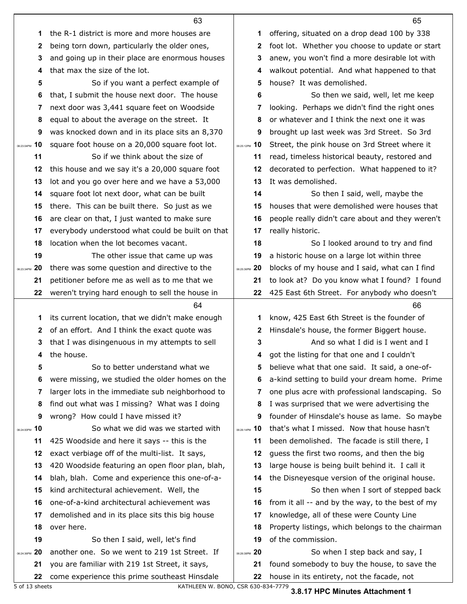|               |              | 63                                                                                              |               | 65                                                                                         |
|---------------|--------------|-------------------------------------------------------------------------------------------------|---------------|--------------------------------------------------------------------------------------------|
|               | 1            | the R-1 district is more and more houses are                                                    | 1             | offering, situated on a drop dead 100 by 338                                               |
|               | $\mathbf{2}$ | being torn down, particularly the older ones,                                                   | 2             | foot lot. Whether you choose to update or start                                            |
|               | 3            | and going up in their place are enormous houses                                                 | 3             | anew, you won't find a more desirable lot with                                             |
|               | 4            | that max the size of the lot.                                                                   | 4             | walkout potential. And what happened to that                                               |
|               | 5            | So if you want a perfect example of                                                             | 5             | house? It was demolished.                                                                  |
|               | 6            | that, I submit the house next door. The house                                                   | 6             | So then we said, well, let me keep                                                         |
|               | 7            | next door was 3,441 square feet on Woodside                                                     | 7             | looking. Perhaps we didn't find the right ones                                             |
|               | 8            | equal to about the average on the street. It                                                    | 8             | or whatever and I think the next one it was                                                |
|               | 9            | was knocked down and in its place sits an 8,370                                                 | 9             | brought up last week was 3rd Street. So 3rd                                                |
| 06:23:04PM    | 10           | square foot house on a 20,000 square foot lot.                                                  | 06:25:12PM 10 | Street, the pink house on 3rd Street where it                                              |
|               | 11           | So if we think about the size of                                                                | 11            | read, timeless historical beauty, restored and                                             |
|               | 12           | this house and we say it's a 20,000 square foot                                                 | 12            | decorated to perfection. What happened to it?                                              |
|               | 13           | lot and you go over here and we have a 53,000                                                   | 13            | It was demolished.                                                                         |
|               | 14           | square foot lot next door, what can be built                                                    | 14            | So then I said, well, maybe the                                                            |
|               | 15           | there. This can be built there. So just as we                                                   | 15            | houses that were demolished were houses that                                               |
|               | 16           | are clear on that, I just wanted to make sure                                                   | 16            | people really didn't care about and they weren't                                           |
|               | 17           | everybody understood what could be built on that                                                | 17            | really historic.                                                                           |
|               | 18           | location when the lot becomes vacant.                                                           | 18            | So I looked around to try and find                                                         |
|               | 19           | The other issue that came up was                                                                | 19            | a historic house on a large lot within three                                               |
| 06:23:34PM    | 20           | there was some question and directive to the                                                    | 06:25:36PM 20 | blocks of my house and I said, what can I find                                             |
|               | 21           | petitioner before me as well as to me that we                                                   | 21            | to look at? Do you know what I found? I found                                              |
|               | 22           | weren't trying hard enough to sell the house in                                                 | 22            | 425 East 6th Street. For anybody who doesn't                                               |
|               |              |                                                                                                 |               |                                                                                            |
|               |              | 64                                                                                              |               | 66                                                                                         |
|               | 1            | its current location, that we didn't make enough                                                | 1             | know, 425 East 6th Street is the founder of                                                |
|               | $\mathbf{2}$ | of an effort. And I think the exact quote was                                                   | 2             | Hinsdale's house, the former Biggert house.                                                |
|               | 3            | that I was disingenuous in my attempts to sell                                                  | 3             | And so what I did is I went and I                                                          |
|               | 4            | the house.                                                                                      | 4             | got the listing for that one and I couldn't                                                |
|               | 5            | So to better understand what we                                                                 | 5             | believe what that one said. It said, a one-of-                                             |
|               | 6            | were missing, we studied the older homes on the                                                 | 6             | a-kind setting to build your dream home. Prime                                             |
|               | 7            | larger lots in the immediate sub neighborhood to                                                | 7             | one plus acre with professional landscaping. So                                            |
|               | 8            | find out what was I missing? What was I doing                                                   | 8             | I was surprised that we were advertising the                                               |
|               | 9            | wrong? How could I have missed it?                                                              | 9             | founder of Hinsdale's house as lame. So maybe                                              |
| 06:24:00PM 10 |              | So what we did was we started with                                                              | 06:26:14PM 10 | that's what I missed. Now that house hasn't                                                |
|               | 11           | 425 Woodside and here it says -- this is the                                                    | 11            | been demolished. The facade is still there, I                                              |
|               | 12           | exact verbiage off of the multi-list. It says,                                                  | 12            | guess the first two rooms, and then the big                                                |
|               | 13           | 420 Woodside featuring an open floor plan, blah,                                                | 13            | large house is being built behind it. I call it                                            |
|               | 14           | blah, blah. Come and experience this one-of-a-                                                  | 14            | the Disneyesque version of the original house.                                             |
|               | 15           | kind architectural achievement. Well, the                                                       | 15            | So then when I sort of stepped back                                                        |
|               | 16           | one-of-a-kind architectural achievement was                                                     | 16            | from it all -- and by the way, to the best of my                                           |
|               | 17           | demolished and in its place sits this big house                                                 | 17            | knowledge, all of these were County Line                                                   |
|               | 18           | over here.                                                                                      | 18            | Property listings, which belongs to the chairman                                           |
|               | 19           | So then I said, well, let's find                                                                | 19            | of the commission.                                                                         |
| 06:24:36PM    | -20          | another one. So we went to 219 1st Street. If                                                   | 06:26:38PM 20 | So when I step back and say, I                                                             |
|               | 21<br>22     | you are familiar with 219 1st Street, it says,<br>come experience this prime southeast Hinsdale | 21<br>22      | found somebody to buy the house, to save the<br>house in its entirety, not the facade, not |

5 of 13 sheets KATHLEEN W. BONO, CSR 630-834-7779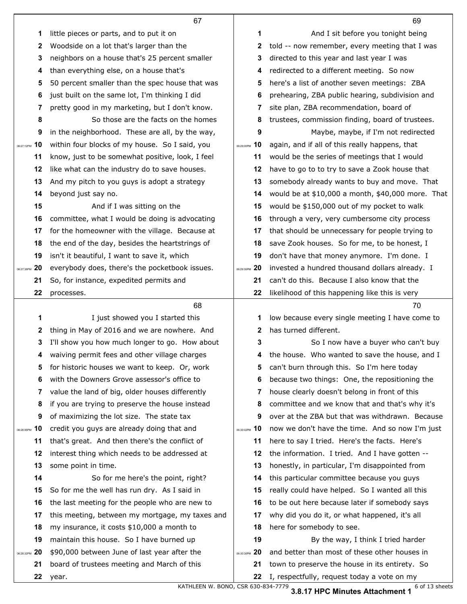|                  | 67                                               |                   | 69                                                |
|------------------|--------------------------------------------------|-------------------|---------------------------------------------------|
| 1                | little pieces or parts, and to put it on         | 1                 | And I sit before you tonight being                |
| 2                | Woodside on a lot that's larger than the         | 2                 | told -- now remember, every meeting that I was    |
| 3                | neighbors on a house that's 25 percent smaller   | 3                 | directed to this year and last year I was         |
| 4                | than everything else, on a house that's          | 4                 | redirected to a different meeting. So now         |
| 5                | 50 percent smaller than the spec house that was  | 5                 | here's a list of another seven meetings: ZBA      |
| 6                | just built on the same lot, I'm thinking I did   | 6                 | prehearing, ZBA public hearing, subdivision and   |
| 7                | pretty good in my marketing, but I don't know.   | 7                 | site plan, ZBA recommendation, board of           |
| 8                | So those are the facts on the homes              | 8                 | trustees, commission finding, board of trustees.  |
| 9                | in the neighborhood. These are all, by the way,  | 9                 | Maybe, maybe, if I'm not redirected               |
| 10<br>06:27:12PM | within four blocks of my house. So I said, you   | 06:29:00PM 10     | again, and if all of this really happens, that    |
| 11               | know, just to be somewhat positive, look, I feel | 11                | would be the series of meetings that I would      |
| $12 \,$          | like what can the industry do to save houses.    | 12                | have to go to to try to save a Zook house that    |
| 13               | And my pitch to you guys is adopt a strategy     | 13                | somebody already wants to buy and move. That      |
| 14               | beyond just say no.                              | 14                | would be at \$10,000 a month, \$40,000 more. That |
| 15               | And if I was sitting on the                      | 15                | would be \$150,000 out of my pocket to walk       |
| 16               | committee, what I would be doing is advocating   | 16                | through a very, very cumbersome city process      |
| 17               | for the homeowner with the village. Because at   | 17                | that should be unnecessary for people trying to   |
| 18               | the end of the day, besides the heartstrings of  | 18                | save Zook houses. So for me, to be honest, I      |
| 19               | isn't it beautiful, I want to save it, which     | 19                | don't have that money anymore. I'm done. I        |
| 20<br>06:27:38PM | everybody does, there's the pocketbook issues.   | 06:29:30PM 20     | invested a hundred thousand dollars already. I    |
| 21               | So, for instance, expedited permits and          | 21                | can't do this. Because I also know that the       |
| 22               | processes.                                       | 22                | likelihood of this happening like this is very    |
|                  |                                                  |                   |                                                   |
|                  | 68                                               |                   | 70                                                |
| 1                | I just showed you I started this                 | 1                 | low because every single meeting I have come to   |
| 2                | thing in May of 2016 and we are nowhere. And     | 2                 | has turned different.                             |
| 3                | I'll show you how much longer to go. How about   | 3                 | So I now have a buyer who can't buy               |
| 4                | waiving permit fees and other village charges    | 4                 | the house. Who wanted to save the house, and I    |
| 5                | for historic houses we want to keep. Or, work    | 5                 | can't burn through this. So I'm here today        |
| 6                | with the Downers Grove assessor's office to      | 6                 | because two things: One, the repositioning the    |
| 7                | value the land of big, older houses differently  | 7                 | house clearly doesn't belong in front of this     |
| 8                | if you are trying to preserve the house instead  | 8                 | committee and we know that and that's why it's    |
| 9                | of maximizing the lot size. The state tax        | 9                 | over at the ZBA but that was withdrawn. Because   |
| 10<br>06:28:06PM | credit you guys are already doing that and       | 06:30:02PM 10     | now we don't have the time. And so now I'm just   |
| 11               | that's great. And then there's the conflict of   | 11                | here to say I tried. Here's the facts. Here's     |
| 12               | interest thing which needs to be addressed at    | 12                | the information. I tried. And I have gotten --    |
| 13               | some point in time.                              | 13                | honestly, in particular, I'm disappointed from    |
| 14               | So for me here's the point, right?               | 14                | this particular committee because you guys        |
| 15               | So for me the well has run dry. As I said in     | 15                | really could have helped. So I wanted all this    |
| 16               | the last meeting for the people who are new to   | 16                | to be out here because later if somebody says     |
| 17               | this meeting, between my mortgage, my taxes and  | 17                | why did you do it, or what happened, it's all     |
| 18               | my insurance, it costs \$10,000 a month to       | 18                | here for somebody to see.                         |
| 19               | maintain this house. So I have burned up         | 19                | By the way, I think I tried harder                |
| 20<br>06:28:32PM | \$90,000 between June of last year after the     | -20<br>06:30:30PM | and better than most of these other houses in     |
| 21               | board of trustees meeting and March of this      | 21                | town to preserve the house in its entirety. So    |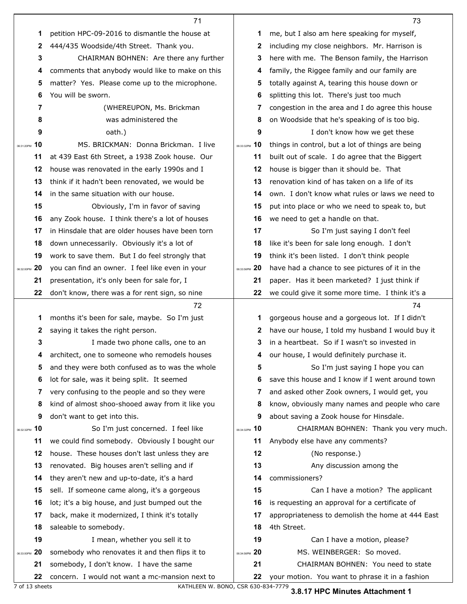|                  | 71                                               |                  | 73                                               |
|------------------|--------------------------------------------------|------------------|--------------------------------------------------|
| 1                | petition HPC-09-2016 to dismantle the house at   | 1                | me, but I also am here speaking for myself,      |
| 2                | 444/435 Woodside/4th Street. Thank you.          | 2                | including my close neighbors. Mr. Harrison is    |
| 3                | CHAIRMAN BOHNEN: Are there any further           | 3                | here with me. The Benson family, the Harrison    |
| 4                | comments that anybody would like to make on this | 4                | family, the Riggee family and our family are     |
| 5                | matter? Yes. Please come up to the microphone.   | 5                | totally against A, tearing this house down or    |
| 6                | You will be sworn.                               | 6                | splitting this lot. There's just too much        |
| 7                | (WHEREUPON, Ms. Brickman                         | 7                | congestion in the area and I do agree this house |
| 8                | was administered the                             | 8                | on Woodside that he's speaking of is too big.    |
| 9                | oath.)                                           | 9                | I don't know how we get these                    |
| 10<br>06:31:20PM | MS, BRICKMAN: Donna Brickman, I live             | 06:33:32PM 10    | things in control, but a lot of things are being |
| 11               | at 439 East 6th Street, a 1938 Zook house. Our   | 11               | built out of scale. I do agree that the Biggert  |
| 12               | house was renovated in the early 1990s and I     | 12               | house is bigger than it should be. That          |
| 13               | think if it hadn't been renovated, we would be   | 13               | renovation kind of has taken on a life of its    |
| 14               | in the same situation with our house.            | 14               | own. I don't know what rules or laws we need to  |
| 15               | Obviously, I'm in favor of saving                | 15               | put into place or who we need to speak to, but   |
| 16               | any Zook house. I think there's a lot of houses  | 16               | we need to get a handle on that.                 |
| 17               | in Hinsdale that are older houses have been torn | 17               | So I'm just saying I don't feel                  |
| 18               | down unnecessarily. Obviously it's a lot of      | 18               | like it's been for sale long enough. I don't     |
| 19               | work to save them. But I do feel strongly that   | 19               | think it's been listed. I don't think people     |
| 20<br>06:32:00PM | you can find an owner. I feel like even in your  | 20<br>06:33:56PM | have had a chance to see pictures of it in the   |
| 21               | presentation, it's only been for sale for, I     | 21               | paper. Has it been marketed? I just think if     |
| 22               | don't know, there was a for rent sign, so nine   | 22               | we could give it some more time. I think it's a  |
|                  | 72                                               |                  | 74                                               |
| 1                | months it's been for sale, maybe. So I'm just    | 1                |                                                  |
|                  |                                                  |                  | gorgeous house and a gorgeous lot. If I didn't   |
| 2                | saying it takes the right person.                | 2                | have our house, I told my husband I would buy it |
| 3                | I made two phone calls, one to an                | 3                | in a heartbeat. So if I wasn't so invested in    |
|                  | architect, one to someone who remodels houses    |                  | our house, I would definitely purchase it.       |
| 5                | and they were both confused as to was the whole  | 5                | So I'm just saying I hope you can                |
| 6                | lot for sale, was it being split. It seemed      | 6                | save this house and I know if I went around town |
| 7                | very confusing to the people and so they were    | 7                | and asked other Zook owners, I would get, you    |
| 8                | kind of almost shoo-shooed away from it like you | 8                | know, obviously many names and people who care   |
| 9                | don't want to get into this.                     | 9                | about saving a Zook house for Hinsdale.          |
| 10<br>06:32:32PM | So I'm just concerned. I feel like               | 06:34:32PM 10    | CHAIRMAN BOHNEN: Thank you very much.            |
| 11               | we could find somebody. Obviously I bought our   | 11               | Anybody else have any comments?                  |
| 12               | house. These houses don't last unless they are   | 12               | (No response.)                                   |
| 13               | renovated. Big houses aren't selling and if      | 13               | Any discussion among the                         |
| 14               | they aren't new and up-to-date, it's a hard      | 14               | commissioners?                                   |
| 15               | sell. If someone came along, it's a gorgeous     | 15               | Can I have a motion? The applicant               |
| 16               | lot; it's a big house, and just bumped out the   | 16               | is requesting an approval for a certificate of   |
| 17               | back, make it modernized, I think it's totally   | 17               | appropriateness to demolish the home at 444 East |
| 18               | saleable to somebody.                            | 18               | 4th Street.                                      |
| 19               | I mean, whether you sell it to                   | 19               | Can I have a motion, please?                     |
| 20<br>06:33:00PM | somebody who renovates it and then flips it to   | 06:34:56PM 20    | MS. WEINBERGER: So moved.                        |
| 21               | somebody, I don't know. I have the same          | 21               | CHAIRMAN BOHNEN: You need to state               |

7 of 13 sheets KATHLEEN W. BONO, CSR 630-834-7779

**3.8.17 HPC Minutes Attachment 1**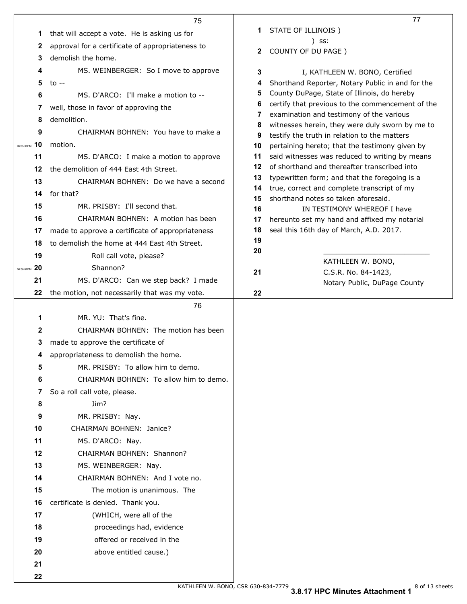|                   | 75                                               |          | 77                                                                                            |
|-------------------|--------------------------------------------------|----------|-----------------------------------------------------------------------------------------------|
| 1                 | that will accept a vote. He is asking us for     | 1.       | STATE OF ILLINOIS)                                                                            |
| 2                 | approval for a certificate of appropriateness to |          | ) SS:                                                                                         |
| 3                 | demolish the home.                               | 2        | COUNTY OF DU PAGE )                                                                           |
| 4                 | MS. WEINBERGER: So I move to approve             | 3        | I, KATHLEEN W. BONO, Certified                                                                |
| 5                 | to $-$                                           | 4        | Shorthand Reporter, Notary Public in and for the                                              |
| 6                 | MS. D'ARCO: I'll make a motion to --             | 5        | County DuPage, State of Illinois, do hereby                                                   |
| 7                 | well, those in favor of approving the            | 6        | certify that previous to the commencement of the                                              |
|                   | demolition.                                      | 7        | examination and testimony of the various                                                      |
| 8                 |                                                  | 8        | witnesses herein, they were duly sworn by me to                                               |
| 9                 | CHAIRMAN BOHNEN: You have to make a              | 9        | testify the truth in relation to the matters                                                  |
| 10<br>06:35:38PM  | motion.                                          | 10       | pertaining hereto; that the testimony given by                                                |
| 11                | MS. D'ARCO: I make a motion to approve           | 11       | said witnesses was reduced to writing by means                                                |
| 12                | the demolition of 444 East 4th Street.           | 12<br>13 | of shorthand and thereafter transcribed into<br>typewritten form; and that the foregoing is a |
| 13                | CHAIRMAN BOHNEN: Do we have a second             | 14       | true, correct and complete transcript of my                                                   |
| 14                | for that?                                        | 15       | shorthand notes so taken aforesaid.                                                           |
| 15                | MR. PRISBY: I'll second that.                    | 16       | IN TESTIMONY WHEREOF I have                                                                   |
| 16                | CHAIRMAN BOHNEN: A motion has been               | 17       | hereunto set my hand and affixed my notarial                                                  |
| 17                | made to approve a certificate of appropriateness | 18       | seal this 16th day of March, A.D. 2017.                                                       |
| 18                | to demolish the home at 444 East 4th Street.     | 19       |                                                                                               |
| 19                | Roll call vote, please?                          | 20       |                                                                                               |
| 20<br>06:36:02PM  | Shannon?                                         |          | KATHLEEN W. BONO,                                                                             |
| 21                | MS. D'ARCO: Can we step back? I made             | 21       | C.S.R. No. 84-1423,<br>Notary Public, DuPage County                                           |
|                   |                                                  |          |                                                                                               |
| 22                | the motion, not necessarily that was my vote.    | 22       |                                                                                               |
|                   | 76                                               |          |                                                                                               |
| 1                 | MR. YU: That's fine.                             |          |                                                                                               |
| 2                 | CHAIRMAN BOHNEN: The motion has been             |          |                                                                                               |
| 3                 |                                                  |          |                                                                                               |
| 4                 | made to approve the certificate of               |          |                                                                                               |
|                   | appropriateness to demolish the home.            |          |                                                                                               |
| 5                 | MR. PRISBY: To allow him to demo.                |          |                                                                                               |
| 6                 | CHAIRMAN BOHNEN: To allow him to demo.           |          |                                                                                               |
| 7                 | So a roll call vote, please.                     |          |                                                                                               |
| 8                 | Jim?                                             |          |                                                                                               |
| 9                 | MR. PRISBY: Nay.                                 |          |                                                                                               |
| 10                | CHAIRMAN BOHNEN: Janice?                         |          |                                                                                               |
| 11                | MS. D'ARCO: Nay.                                 |          |                                                                                               |
| $12 \overline{ }$ | CHAIRMAN BOHNEN: Shannon?                        |          |                                                                                               |
| 13                | MS. WEINBERGER: Nay.                             |          |                                                                                               |
| 14                | CHAIRMAN BOHNEN: And I vote no.                  |          |                                                                                               |
| 15                | The motion is unanimous. The                     |          |                                                                                               |
| 16                | certificate is denied. Thank you.                |          |                                                                                               |
| 17                | (WHICH, were all of the                          |          |                                                                                               |
| 18                | proceedings had, evidence                        |          |                                                                                               |
| 19                | offered or received in the                       |          |                                                                                               |
| 20                | above entitled cause.)                           |          |                                                                                               |
| 21                |                                                  |          |                                                                                               |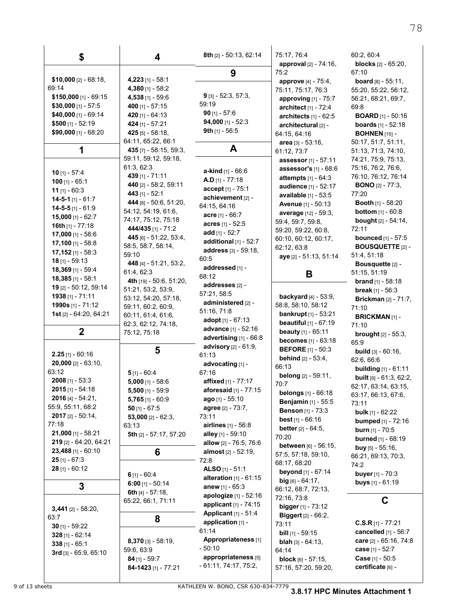| \$                                       | 4                                    | 8th [2] - 50:13, 62:14                     | 75:17, 76:4                                              | 60:2, 60:4                                               |
|------------------------------------------|--------------------------------------|--------------------------------------------|----------------------------------------------------------|----------------------------------------------------------|
|                                          |                                      | 9                                          | approval [2] - 74:16,<br>75:2                            | <b>blocks</b> $[2] - 65:20$ ,<br>67:10                   |
| $$10,000$ [2] - 68:18,                   | $4,223$ [1] - 58:1                   |                                            | approve [4] - 75:4,                                      | <b>board</b> $[8] - 55:11$ ,                             |
| 69:14                                    | 4,380 [1] - 58:2                     |                                            | 75:11, 75:17, 76:3                                       | 55:20, 55:22, 56:12,                                     |
| $$150,000$ [1] - 69:15                   | 4,538 [1] - 59.6                     | $9$ [3] - 52:3, 57:3,                      | <b>approving</b> $[1] - 75:7$                            | 56:21, 68:21, 69:7,                                      |
| $$30,000$ [1] - 57:5                     | 400 [1] - 57:15                      | 59:19                                      | architect [1] - 72:4                                     | 69:8                                                     |
| \$40,000 [1] - 69.14                     | 420 $[1] - 64:13$                    | $90$ [1] - 57:6                            | architects $[1]$ - 62:5                                  | <b>BOARD</b> $[1]$ - 50:16                               |
| \$500 $[1] - 52:19$                      | 424 [1] - 57:21                      | $94,000$ [1] - 52:3                        | architectural [2] -                                      | <b>boards</b> $[1] - 52:18$                              |
| \$90,000 [1] - 68:20                     | 425 [5] - 58:18,                     | 9th $[1]$ - 56:5                           | 64:15, 64:16                                             | <b>BOHNEN</b> [15] -                                     |
|                                          | 64:11, 65:22, 66:1                   | A                                          | area [3] - 53:16,                                        | 50:17, 51:7, 51:11,                                      |
| 1                                        | 435 [7] - 58:15, 59:3,               |                                            | 61:12, 73:7                                              | 51:13, 71:3, 74:10,                                      |
|                                          | 59:11, 59:12, 59:18,<br>61:3, 62:3   |                                            | assessor [1] - 57:11                                     | 74:21, 75:9, 75:13,<br>75:16, 76:2, 76:6,                |
| <b>10</b> [1] - 57:4                     | 439 [1] - 71:11                      | <b>a-kind</b> $[1]$ - 66:6                 | assessor's [1] - 68.6                                    | 76:10, 76:12, 76:14                                      |
| 100 $[1] - 65.1$                         | 440 [2] - 58:2, 59:11                | <b>A.D</b> $[1]$ - 77:18                   | <b>attempts</b> $[1] - 64.3$<br>audience [1] - 52:17     | <b>BONO</b> $[2] - 77:3$ ,                               |
| 11 $[1] - 60:3$                          | 443 [1] - 52:1                       | accept [1] - 75:1                          | available [1] - 53:5                                     | 77:20                                                    |
| 14-5-1 [1] - $61:7$                      | 444 [8] - 50:6, 51:20,               | achievement [2] -<br>64:15, 64:16          | <b>Avenue [1] - 50:13</b>                                | <b>Booth</b> $[1]$ - 58:20                               |
| $14-5-5$ [1] - 61:9                      | 54:12, 54:19, 61:6,                  | acre [1] - 66:7                            | average [12] - 59:3,                                     | <b>bottom</b> $[1] - 60:8$                               |
| 15,000 [1] - 62:7                        | 74:17, 75:12, 75:18                  | acres [1] - 52:5                           | 59:4, 59:7, 59:8,                                        | <b>bought</b> $[2] - 54:14$ ,                            |
| 16th $[1]$ - 77:18                       | 444/435 [1] - 71:2                   | add $[1] - 52:7$                           | 59:20, 59:22, 60:8,                                      | 72:11                                                    |
| 17,000 [1] - 58:6<br>$17,100$ [1] - 58:8 | 445 [6] - 51:22, 53:4,               | additional $[1]$ - 52:7                    | 60:10, 60:12, 60:17,                                     | <b>bounced</b> [1] - 57:5                                |
| $17,152$ [1] - 58:3                      | 58:5, 58:7, 58:14,                   | address [3] - 59:18,                       | 62:12, 63:8                                              | <b>BOUSQUETTE [2] -</b>                                  |
| $18$ [1] - 59:13                         | 59:10                                | 60:5                                       | aye [2] - 51:13, 51:14                                   | 51:4, 51:18                                              |
| 18,369 [1] - 59:4                        | 448 [4] - 51:21, 53:2,<br>61:4, 62:3 | addressed [1] -                            |                                                          | Bousquette [2] -                                         |
| 18,385 [1] - 58:1                        | 4th $[19] - 50.6, 51.20$ ,           | 68:12                                      | B                                                        | 51:15, 51:19<br><b>brand</b> $[1] - 58:18$               |
| 19 [2] - 50:12, 59:14                    | 51:21, 53:2, 53:9,                   | addresses [2] -                            |                                                          | <b>break</b> $[1] - 56:3$                                |
| 1938 [1] - 71:11                         | 53:12, 54:20, 57:18,                 | 57:21, 58:5                                | <b>backyard</b> $[4] - 53.9$ ,                           | <b>Brickman</b> [2] - 71:7,                              |
| 1990s [1] - 71:12                        | 59:11, 60:2, 60:9,                   | administered [2] -                         | 58:8, 58:10, 58:12                                       | 71:10                                                    |
| 1st [2] - 64:20, 64:21                   | 60:11, 61:4, 61:6,                   | 51:16, 71:8                                | bankrupt [1] - 53:21                                     | <b>BRICKMAN</b> [1] -                                    |
|                                          | 62:3, 62:12, 74:18,                  | adopt $[1] - 67:13$<br>advance [1] - 52:16 | <b>beautiful</b> $[1] - 67:19$                           | 71:10                                                    |
| $\boldsymbol{2}$                         | 75:12, 75:18                         | advertising [1] - 66:8                     | <b>beauty</b> $[1]$ - $65:11$                            | <b>brought</b> $[2] - 55:3$ ,                            |
|                                          |                                      | advisory [2] - 61:9,                       | becomes [1] - 63:18<br><b>BEFORE</b> [1] - 50:3          | 65.9                                                     |
| $2.25$ [1] - 60:16                       | 5                                    | 61:13                                      | <b>behind</b> $[2] - 53:4,$                              | build [3] - 60:16,                                       |
| $20,000$ [2] - 63:10,                    |                                      | advocating [1] -                           | 66:13                                                    | 62:6, 66:6                                               |
| 63:12                                    | $5$ [1] - 60:4                       | 67:16                                      | <b>belong</b> [2] - 59:11,                               | <b>building</b> $[1] - 61:11$<br>built [9] - 61:3, 62:2, |
| $2008$ [1] - 53:3                        | $5,000$ [1] - 58:6                   | affixed [1] - 77:17                        | 70:7                                                     | 62:17, 63:14, 63:15,                                     |
| $2015$ [1] - 54:18                       | 5,500 [1] - 59.9                     | <b>aforesaid</b> $[1] - 77:15$             | belongs [1] - 66:18                                      | 63:17, 66:13, 67:6,                                      |
| 2016 [4] - 54:21,                        | $5,765$ [1] - 60.9                   | ago [1] - 55:10                            | Benjamin [1] - 55:5                                      | 73:11                                                    |
| 55:9, 55:11, 68:2<br>$2017$ [2] - 50:14, | $50$ [1] - 67:5                      | agree [2] - 73:7,<br>73:11                 | <b>Benson</b> [1] - 73:3                                 | <b>bulk</b> $[1] - 62:22$                                |
| 77:18                                    | 53,000 $[2] - 62:3$<br>63:13         | <b>airlines</b> [1] - 56:8                 | <b>best</b> $[1] - 66:16$                                | <b>bumped</b> [1] - 72:16                                |
| 21,000 [1] - 58:21                       | 5th [2] - 57:17, 57:20               | alley [1] - 59:10                          | <b>better</b> $[2] - 64:5$ ,                             | <b>burn</b> $[1] - 70.5$                                 |
| 219 [2] - 64:20, 64:21                   |                                      | allow [2] - 76:5, 76:6                     | 70:20                                                    | <b>burned</b> [1] - 68:19                                |
| $23,488$ [1] - 60:10                     | 6                                    | <b>almost</b> [2] - 52:19,                 | <b>between</b> [6] - 56:15,<br>57:5, 57:18, 59:10,       | <b>buy</b> $[5] - 55.16$ ,                               |
| $25$ [1] - 67:3                          |                                      | 72:8                                       | 68:17, 68:20                                             | 66:21, 69:13, 70:3,<br>74:2                              |
| $28$ [1] - 60:12                         | $6$ [1] - 60:4                       | ALSO [1] - $51:1$                          | <b>beyond</b> [1] - 67:14                                | buyer [1] - 70:3                                         |
|                                          | $6:00$ [1] - 50:14                   | alteration $[1] - 61:15$                   | big [6] - 64:17,                                         | buys [1] - 61:19                                         |
| 3                                        | 6th $[4] - 57:18$ ,                  | anew [1] - 65:3                            | 66:12, 68:7, 72:13,                                      |                                                          |
|                                          | 65:22, 66:1, 71:11                   | apologize [1] - 52:16                      | 72:16, 73:8                                              | C                                                        |
| $3,441$ [2] - 58:20,                     |                                      | applicant [1] - 74:15                      | bigger [1] - 73:12                                       |                                                          |
| 63:7                                     | 8                                    | Applicant [1] - 51:4<br>application [1] -  | <b>Biggert</b> $[2] - 66.2$ ,                            |                                                          |
| 30 $[1] - 59:22$                         |                                      | 61:14                                      | 73:11                                                    | $C.S.R$ [1] - 77:21<br>cancelled [1] - 56:7              |
| $328$ [1] - 62:14                        | 8,370 [3] - 58.19,                   | Appropriateness [1]                        | <b>bill</b> $[1]$ - 59:15<br><b>blah</b> $[3] - 64:13$ , | care [2] - 65:16, 74:8                                   |
| $338$ [1] - 65:1                         | 59:6, 63:9                           | - 50:10                                    | 64:14                                                    | case [1] - 52:7                                          |
| 3rd [3] - 65:9, 65:10                    | $84$ [1] - 59:7                      | appropriateness [5]                        | <b>block</b> $[6] - 57:15$ ,                             | Case [1] - 50:5                                          |
|                                          | 84-1423 [1] - 77:21                  | $-61.11, 74.17, 75.2,$                     | 57:16, 57:20, 59:20,                                     | certificate [6] -                                        |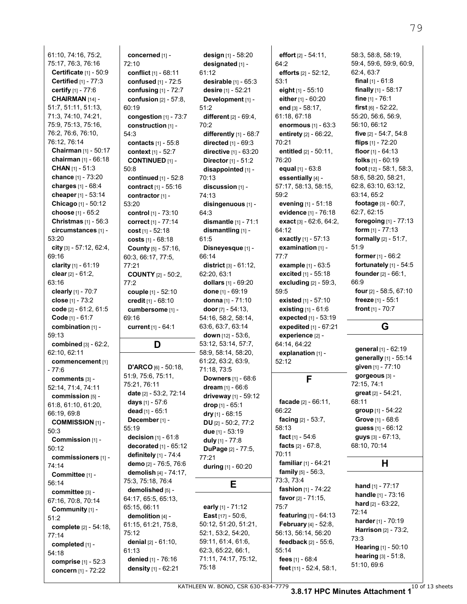61:10, 74:16, 75:2, 75:17, 76:3, 76:16 **Certificate** [1] - 50:9 **Certified** [1] - 77:3 **certify** [1] - 77:6 **CHAIRMAN** [14] - 51:7, 51:11, 51:13, 71:3, 74:10, 74:21, 75:9, 75:13, 75:16, 76:2, 76:6, 76:10, 76:12, 76:14 **Chairman** [1] - 50:17 **chairman** [1] - 66:18 **CHAN** [1] - 51:3 **chance** [1] - 73:20 **charges** [1] - 68:4 **cheaper** [1] - 53:14 **Chicago** [1] - 50:12 **choose** [1] - 65:2 **Christmas** [1] - 56:3 **circumstances** [1] - 53:20 **city** [3] - 57:12, 62:4, 69:16 **clarity** [1] - 61:19 **clear** [2] - 61:2, 63:16 **clearly** [1] - 70:7 **close** [1] - 73:2 **code** [2] - 61:2, 61:5 **Code** [1] - 61:7 **combination** [1] - 59:13 **combined** [3] - 62:2, 62:10, 62:11 **commencement** [1] - 77:6 **comments** [3] - 52:14, 71:4, 74:11 **commission** [5] - 61:8, 61:10, 61:20, 66:19, 69:8 **COMMISSION** [1] - 50:3 **Commission** [1] - 50:12 **commissioners** [1] - 74:14 **Committee** [1] - 56:14 **committee** [3] - 67:16, 70:8, 70:14 **Community** [1] - 51:2 **complete** [2] - 54:18, 77:14 **completed** [1] - 54:18 **comprise** [1] - 52:3 **concern** [1] - 72:22

**concerned** [1] - 72:10 **conflict** [1] - 68:11 **confused** [1] - 72:5 **confusing** [1] - 72:7 **confusion** [2] - 57:8, 60:19 **congestion** [1] - 73:7 **construction** [1] - 54:3 **contacts** [1] - 55:8 **context** [1] - 52:7 **CONTINUED** [1] - 50:8 **continued** [1] - 52:8 **contract** [1] - 55:16 **contractor** [1] - 53:20 **control** [1] - 73:10 **correct** [1] - 77:14 **cost** [1] - 52:18 **costs** [1] - 68:18 **County** [5] - 57:16, 60:3, 66:17, 77:5, 77:21 **COUNTY** [2] - 50:2, 77:2 **couple** [1] - 52:10 **credit** [1] - 68:10 **cumbersome** [1] - 69:16 **current** [1] - 64:1 **D D'ARCO** [6] - 50:18, 51:9, 75:6, 75:11, 75:21, 76:11 **date** [2] - 53:2, 72:14 **days** [1] - 57:6 **dead** [1] - 65:1 **December** [1] - 55:19 **decision** [1] - 61:8 **decorated** [1] - 65:12 **definitely** [1] - 74:4 **demo** [2] - 76:5, 76:6 **demolish** [4] - 74:17, 75:3, 75:18, 76:4 **demolished** [5] - 64:17, 65:5, 65:13, 65:15, 66:11 **demolition** [4] - 61:15, 61:21, 75:8, 75:12 **denial** [2] - 61:10, 61:13 **denied** [1] - 76:16 **density** [1] - 62:21

**design** [1] - 58:20 **designated** [1] - 61:12 **desirable** [1] - 65:3 **desire** [1] - 52:21 **Development** [1] - 51:2 **different** [2] - 69:4, 70:2 **differently** [1] - 68:7 **directed** [1] - 69:3 **directive** [1] - 63:20 **Director** [1] - 51:2 **disappointed** [1] - 70:13 **discussion** [1] - 74:13 **disingenuous** [1] - 64:3 **dismantle** [1] - 71:1 **dismantling** [1] - 61:5 **Disneyesque** [1] - 66:14 **district** [3] - 61:12, 62:20, 63:1 **dollars** [1] - 69:20 **done** [1] - 69:19 **donna** [1] - 71:10 **door** [7] - 54:13, 54:16, 58:2, 58:14, 63:6, 63:7, 63:14 **down** [12] - 53:6, 53:12, 53:14, 57:7, 58:9, 58:14, 58:20, 61:22, 63:2, 63:9, 71:18, 73:5 **Downers** [1] - 68:6 **dream** [1] - 66:6 **driveway** [1] - 59:12 **drop** [1] - 65:1 **dry** [1] - 68:15 **DU** [2] - 50:2, 77:2 **due** [1] - 53:19 **duly** [1] - 77:8 **DuPage** [2] - 77:5, 77:21 **during** [1] - 60:20 **E early** [1] - 71:12 **East** [17] - 50:6, 50:12, 51:20, 51:21, 52:1, 53:2, 54:20, 59:11, 61:4, 61:6, 62:3, 65:22, 66:1, 71:11, 74:17, 75:12, 75:18

64:2 **efforts** [2] - 52:12, 53:1 **eight** [1] - 55:10 **either** [1] - 60:20 **end** [3] - 58:17, 61:18, 67:18 **enormous** [1] - 63:3 **entirety** [2] - 66:22, 70:21 **entitled** [2] - 50:11, 76:20 **equal** [1] - 63:8 **essentially** [4] - 57:17, 58:13, 58:15, 59:2 **evening** [1] - 51:18 **evidence** [1] - 76:18 **exact** [3] - 62:6, 64:2, 64:12 **exactly** [1] - 57:13 **examination** [1] - 77:7 **example** [1] - 63:5 **excited** [1] - 55:18 **excluding** [2] - 59:3, 59:5 **existed** [1] - 57:10 **existing** [1] - 61:6 **expected** [1] - 53:19 **expedited** [1] - 67:21 **experience** [2] - 64:14, 64:22 **explanation** [1] - 52:12 **F facade** [2] - 66:11, 66:22 **facing** [2] - 53:7, 58:13 **fact** [1] - 54:6 **facts** [2] - 67:8, 70:11 **familiar** [1] - 64:21 **family** [5] - 56:3, 73:3, 73:4 **fashion** [1] - 74:22 **favor** [2] - 71:15, 75:7 **featuring** [1] - 64:13 **February** [4] - 52:8, 56:13, 56:14, 56:20 **feedback** [2] - 55:6, 55:14 **fees** [1] - 68:4 **feet** [11] - 52:4, 58:1,

**effort** [2] - 54:11,

58:3, 58:8, 58:19, 59:4, 59:6, 59:9, 60:9, 62:4, 63:7 **final** [1] - 61:8 **finally** [1] - 58:17 **fine** [1] - 76:1 **first** [6] - 52:22, 55:20, 56:6, 56:9, 56:10, 66:12 **five** [2] - 54:7, 54:8 **flips** [1] - 72:20 **floor** [1] - 64:13 **folks** [1] - 60:19 **foot** [12] - 58:1, 58:3, 58:6, 58:20, 58:21, 62:8, 63:10, 63:12, 63:14, 65:2 **footage** [3] - 60:7, 62:7, 62:15 **foregoing** [1] - 77:13 **form** [1] - 77:13 **formally** [2] - 51:7, 51:9 **former** [1] - 66:2 **fortunately** [1] - 54:5 **founder** [2] - 66:1, 66:9 **four** [2] - 58:5, 67:10 **freeze** [1] - 55:1 **front** [1] - 70:7

#### **G**

**general** [1] - 62:19 **generally** [1] - 55:14 **given** [1] - 77:10 **gorgeous** [3] - 72:15, 74:1 **great** [2] - 54:21, 68:11 **group** [1] - 54:22 **Grove** [1] - 68:6 **guess** [1] - 66:12 **guys** [3] - 67:13, 68:10, 70:14

#### **H**

**hand** [1] - 77:17 **handle** [1] - 73:16 **hard** [2] - 63:22, 72:14 **harder** [1] - 70:19 **Harrison** [2] - 73:2, 73:3 **Hearing** [1] - 50:10 **hearing** [3] - 51:8, 51:10, 69:6

<code>KATHLEEN</code> W. BONO, CSR 630-834-7779  $\,$  3.8.17 HPC Minutes Attachment 1  $^{10}$  of 13 sheets  $\,$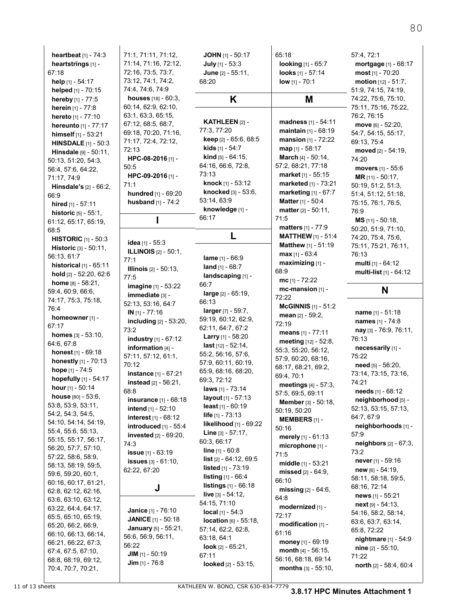| heartbeat [1] - 74:3                      |
|-------------------------------------------|
| heartstrings [1] -                        |
| 67:18                                     |
| <b>help</b> [1] - 54:17                   |
| helped [1] - 70:15                        |
| hereby [1] - 77:5                         |
| herein [1] - 77:8                         |
| hereto [1] - 77:10                        |
| hereunto [1] - 77:17                      |
| himself [1] - 53:21                       |
| <b>HINSDALE</b> [1] - 50:3                |
| Hinsdale [9] - 50:11,                     |
| 50:13, 51:20, 54:3,                       |
| 56:4, 57:6, 64:22,                        |
| 71:17, 74:9                               |
|                                           |
| Hinsdale's [2] - 66:2,                    |
| 66.9                                      |
| hired [1] - 57:11                         |
| historic [5] - 55:1,                      |
| 61:12, 65:17, 65:19,                      |
| 68:5                                      |
| <b>HISTORIC</b> [1] - 50:3                |
| Historic [3] - 50:11,                     |
| 56:13, 61:7                               |
| historical [1] - 65:11                    |
| hold [2] - 52:20, 62:6                    |
| <b>home</b> [8] - 58:21,                  |
| 59:4, 60:9, 66:6,                         |
| 74:17, 75:3, 75:18,                       |
|                                           |
| 76:4                                      |
|                                           |
| homeowner [1] -<br>67:17                  |
|                                           |
| <b>homes</b> [3] - 53:10,                 |
| 64:6, 67:8                                |
| honest [1] - 69:18                        |
| honestly [1] - 70:13                      |
| hope [1] - 74:5                           |
| hopefully [1] - 54:17                     |
| hour [1] - 50:14                          |
| <b>house</b> [80] - 53:6,                 |
| 53:8, 53:9, 53:11,                        |
| 54:2, 54:3, 54:5,                         |
| 54:10, 54:14, 54:19,                      |
| 55:4, 55:6, 55:13,                        |
| 55:15, 55:17, 56:17,                      |
| 56:20, 57:7, 57:10,                       |
| 57:22, 58:6, 58:9,                        |
| 58:13, 58:19, 59:5,                       |
| 59:6, 59:20, 60:1,                        |
| 60:16, 60:17, 61:21,                      |
| 62:8, 62:12, 62:16,                       |
| 63:6, 63:10, 63:12,                       |
| 63:22, 64:4, 64:17,                       |
| 65:5, 65:10, 65:19,                       |
| 65:20, 66:2, 66:9,                        |
| 66:10, 66:13, 66:14,                      |
| 66:21, 66:22, 67:3,                       |
| 67:4, 67:5, 67:10,                        |
| 68:8, 68:19, 69:12,<br>70:4, 70:7, 70:21, |

 $\overline{\phantom{a}}$ 

| 71:1, 71:11, 71:12,                          | <b>JOHN</b> [1] - $\frac{1}{2}$ |
|----------------------------------------------|---------------------------------|
| 71:14, 71:16, 72:12,                         | July [1] - 53                   |
| 72:16, 73:5, 73:7,                           | June [2] - 5                    |
| 73:12, 74:1, 74:2,                           |                                 |
|                                              | 68:20                           |
| 74:4, 74:6, 74:9                             |                                 |
| houses [18] - 60:3,                          | Κ                               |
| 60:14, 62:9, 62:10,                          |                                 |
|                                              |                                 |
| 63:1, 63:3, 65:15,                           |                                 |
| 67:12, 68:5, 68:7,                           | <b>KATHLEEI</b>                 |
| 69:18, 70:20, 71:16,                         | 77:3, 77:20                     |
| 71:17, 72:4, 72:12,                          | keep [2] - 6                    |
|                                              |                                 |
| 72:13                                        | kids [1] - 54                   |
| HPC-08-2016 [1] -                            | <b>kind</b> [5] - 64            |
| 50.5                                         | 64:16, 66:6,                    |
|                                              | 73:13                           |
| HPC-09-2016 [1] -                            |                                 |
| 71:1                                         | knock [1] -                     |
| hundred [1] - 69:20                          | knocked [3                      |
|                                              | 53:14, 63:9                     |
| husband [1] - 74:2                           |                                 |
|                                              | knowledge                       |
| ı                                            | 66:17                           |
|                                              |                                 |
|                                              | L                               |
| <b>idea</b> [1] - 55:3                       |                                 |
| ILLINOIS [2] - 50:1,                         |                                 |
| 77:1                                         | lame [1] - 6                    |
|                                              |                                 |
| Illinois [2] - 50:13,                        | $land_{[1]} - 68$               |
| 77:5                                         | landscapir                      |
| <b>imagine</b> [1] - 53:22                   | 66.7                            |
|                                              | <b>large</b> [2] - 6            |
| immediate [3] -                              |                                 |
| 52:13, 53.16, 64.7                           | 66:13                           |
| <b>IN</b> [1] - 77:16                        | larger [7] - {                  |
| including [2] - 53:20,                       | 59:19, 60:12                    |
|                                              | 62:11, 64:7,                    |
| 73:2                                         |                                 |
| industry [1] - 67:12                         | <b>Larry</b> [1] - $5$          |
| information [4] -                            | <b>last</b> [12] - 52           |
|                                              | 55:2, 56:16,                    |
| 57:11, 57:12, 61:1,                          | 57:9, 60:11,                    |
| 70:12                                        |                                 |
| instance [1] - 67:21                         | 65:9, 68:16,                    |
| instead [2] - 56:21,                         | 69:3, 72:12                     |
|                                              | <b>laws</b> $[1] - 73$          |
| 68.8                                         | layout [1] -                    |
| <b>insurance</b> [1] - 68:18                 |                                 |
| <b>intend</b> [1] - 52:10                    | $least$ [1] - 6                 |
| <b>interest</b> [1] - 68:12                  | life [1] - 73:                  |
|                                              | likelihood                      |
| introduced [1] - 55:4                        |                                 |
| invested [2] - 69:20,                        | Line [3] - 57                   |
| 74.3                                         | 60.3, 66.17                     |
| <b>issue</b> [1] - 63:19                     | <b>line</b> [1] - 60:           |
|                                              | $list [2] - 64$ :               |
| issues [3] - 61:10,                          |                                 |
| 62:22, 67:20                                 | <b>listed</b> $[1] - 7$         |
|                                              | listing [1] -                   |
| J.                                           | listings [1]                    |
|                                              | live [3] - 54:                  |
|                                              | 54:15, 71:10                    |
| Janice [1] - 76:10                           |                                 |
|                                              | <b>local</b> [1] - 54           |
| JANICE [1] - 50:18                           | location [6]                    |
|                                              |                                 |
| January [5] - 55:21,                         | 57:14, 62:2,                    |
| 56:6, 56:9, 56:11,                           |                                 |
|                                              | 63.18, 64.1                     |
| 56:22                                        | look [2] - 65                   |
| <b>JIM</b> $[1]$ - 50:19<br>$Jim$ [1] - 76:8 | 67:11                           |

| <b>JOHN</b> [1] - 50:17                                                                                                                                                                                                                                                                                                                                                                                                              | 65:18                                                                                                                                                                                                                                                                                                                                                                                                                                 |
|--------------------------------------------------------------------------------------------------------------------------------------------------------------------------------------------------------------------------------------------------------------------------------------------------------------------------------------------------------------------------------------------------------------------------------------|---------------------------------------------------------------------------------------------------------------------------------------------------------------------------------------------------------------------------------------------------------------------------------------------------------------------------------------------------------------------------------------------------------------------------------------|
| July [1] - 53:3                                                                                                                                                                                                                                                                                                                                                                                                                      | looking [1] - 65:7                                                                                                                                                                                                                                                                                                                                                                                                                    |
| June [2] - 55:11,                                                                                                                                                                                                                                                                                                                                                                                                                    | looks [1] - 57:14                                                                                                                                                                                                                                                                                                                                                                                                                     |
| 68.20                                                                                                                                                                                                                                                                                                                                                                                                                                | $low$ [1] - 70:1                                                                                                                                                                                                                                                                                                                                                                                                                      |
| K                                                                                                                                                                                                                                                                                                                                                                                                                                    | М                                                                                                                                                                                                                                                                                                                                                                                                                                     |
| KATHLEEN [2] -                                                                                                                                                                                                                                                                                                                                                                                                                       | madness [1] - 54:11                                                                                                                                                                                                                                                                                                                                                                                                                   |
| 77:3, 77:20                                                                                                                                                                                                                                                                                                                                                                                                                          | maintain [1] - 68:19                                                                                                                                                                                                                                                                                                                                                                                                                  |
| keep [2] - 65.6, 68.5                                                                                                                                                                                                                                                                                                                                                                                                                | <b>mansion</b> $[1] - 72:22$                                                                                                                                                                                                                                                                                                                                                                                                          |
| kids [1] - 54:7                                                                                                                                                                                                                                                                                                                                                                                                                      | map [1] - 58:17                                                                                                                                                                                                                                                                                                                                                                                                                       |
| kind [5] - 64:15,                                                                                                                                                                                                                                                                                                                                                                                                                    | March [4] - 50:14,                                                                                                                                                                                                                                                                                                                                                                                                                    |
| 64:16, 66:6, 72:8,                                                                                                                                                                                                                                                                                                                                                                                                                   | 57:2, 68:21, 77:18                                                                                                                                                                                                                                                                                                                                                                                                                    |
| 73.13                                                                                                                                                                                                                                                                                                                                                                                                                                | market [1] - 55:15                                                                                                                                                                                                                                                                                                                                                                                                                    |
| knock [1] - 53:12                                                                                                                                                                                                                                                                                                                                                                                                                    | marketed [1] - 73:21                                                                                                                                                                                                                                                                                                                                                                                                                  |
| <b>knocked</b> $[3] - 53.6$                                                                                                                                                                                                                                                                                                                                                                                                          | marketing [1] - 67:7                                                                                                                                                                                                                                                                                                                                                                                                                  |
| 53:14, 63:9                                                                                                                                                                                                                                                                                                                                                                                                                          | Matter [1] - 50:4                                                                                                                                                                                                                                                                                                                                                                                                                     |
| knowledge [1] -                                                                                                                                                                                                                                                                                                                                                                                                                      | matter [2] - 50:11,                                                                                                                                                                                                                                                                                                                                                                                                                   |
| 66:17                                                                                                                                                                                                                                                                                                                                                                                                                                | 71:5                                                                                                                                                                                                                                                                                                                                                                                                                                  |
| L                                                                                                                                                                                                                                                                                                                                                                                                                                    | matters [1] - 77:9<br><b>MATTHEW</b> [1] - 51:4                                                                                                                                                                                                                                                                                                                                                                                       |
| lame [1] - 66:9<br>land $[1] - 68.7$<br>landscaping [1] -<br>66:7<br>large [2] - 65:19,<br>66:13<br>larger [7] - 59:7,<br>59:19, 60:12, 62:9,<br>62:11, 64:7, 67:2<br><b>Larry</b> [1] - 58:20<br><b>last</b> [12] - 52:14,<br>55:2, 56:16, 57:6,<br>57:9, 60:11, 60:19,<br>65.9, 68.16, 68.20,<br>69:3, 72:12<br>laws [1] - 73:14<br>layout [1] - 57:13<br>least $[1] - 60:19$<br><b>life</b> [1] - 73:13<br>likelihood [1] - 69:22 | <b>Matthew</b> [1] - 51:19<br>max [1] - 63:4<br>maximizing [1] -<br>68:9<br>mc [1] - 72:22<br>mc-mansion [1] -<br>72:22<br><b>McGINNIS</b> $[1] - 51:2$<br>mean $[2] - 59.2$ ,<br>72:19<br>means [1] - 77:11<br>meeting [12] - 52:8,<br>55:3, 55:20, 56:12,<br>57:9, 60:20, 68:16,<br>68:17, 68:21, 69:2,<br>69:4, 70:1<br>meetings [4] - 57:3,<br>57:5, 69:5, 69:11<br>Member [3] - 50:18,<br>50:19, 50:20<br>MEMBERS [1] -<br>50:16 |
| Line [3] - 57:17,                                                                                                                                                                                                                                                                                                                                                                                                                    | merely [1] - 61:13                                                                                                                                                                                                                                                                                                                                                                                                                    |
| 60:3, 66:17                                                                                                                                                                                                                                                                                                                                                                                                                          | microphone $[1]$ -                                                                                                                                                                                                                                                                                                                                                                                                                    |
| line [1] - 60:8                                                                                                                                                                                                                                                                                                                                                                                                                      | 71:5                                                                                                                                                                                                                                                                                                                                                                                                                                  |
| <b>list</b> $[2] - 64:12, 69:5$                                                                                                                                                                                                                                                                                                                                                                                                      | middle [1] - 53:21                                                                                                                                                                                                                                                                                                                                                                                                                    |
| listed [1] - 73:19                                                                                                                                                                                                                                                                                                                                                                                                                   | missed $[2] - 64.9$ ,                                                                                                                                                                                                                                                                                                                                                                                                                 |
| <b>listing</b> [1] - 66:4                                                                                                                                                                                                                                                                                                                                                                                                            | 66:10                                                                                                                                                                                                                                                                                                                                                                                                                                 |
| listings [1] - 66:18                                                                                                                                                                                                                                                                                                                                                                                                                 | <b>missing</b> $[2] - 64.6$ ,                                                                                                                                                                                                                                                                                                                                                                                                         |
| live [3] - 54:12,                                                                                                                                                                                                                                                                                                                                                                                                                    | 64:8                                                                                                                                                                                                                                                                                                                                                                                                                                  |
| 54:15, 71:10                                                                                                                                                                                                                                                                                                                                                                                                                         | modernized [1] -                                                                                                                                                                                                                                                                                                                                                                                                                      |
| <b>local</b> $[1] - 54:3$                                                                                                                                                                                                                                                                                                                                                                                                            | 72:17                                                                                                                                                                                                                                                                                                                                                                                                                                 |
| $location_{[6]} - 55.18,$                                                                                                                                                                                                                                                                                                                                                                                                            | modification [1] -                                                                                                                                                                                                                                                                                                                                                                                                                    |
| 57:14, 62:2, 62:8,                                                                                                                                                                                                                                                                                                                                                                                                                   | 61:16                                                                                                                                                                                                                                                                                                                                                                                                                                 |
| 63:18, 64:1                                                                                                                                                                                                                                                                                                                                                                                                                          | <b>money</b> [1] - 69:19                                                                                                                                                                                                                                                                                                                                                                                                              |
| <b>look</b> $[2] - 65:21$ ,                                                                                                                                                                                                                                                                                                                                                                                                          | month [4] - 56:15,                                                                                                                                                                                                                                                                                                                                                                                                                    |
| 67:11                                                                                                                                                                                                                                                                                                                                                                                                                                | 56:16, 68:18, 69:14                                                                                                                                                                                                                                                                                                                                                                                                                   |
| looked $[2] - 53:15$ ,                                                                                                                                                                                                                                                                                                                                                                                                               | months [3] - 55:10,                                                                                                                                                                                                                                                                                                                                                                                                                   |

**most** [1] - 70:20 **motion** [12] - 51:7, 51:9, 74:15, 74:19, 74:22, 75:6, 75:10, 75:11, 75:16, 75:22, 76:2, 76:15 **move** [6] - 52:20, 54:7, 54:15, 55:17, 69:13, 75:4 **moved** [2] - 54:19, 74:20 **movers** [1] - 55:6 **MR** [11] - 50:17, 50:19, 51:2, 51:3, 51:4, 51:12, 51:18, 75:15, 76:1, 76:5, 76:9 **MS** [11] - 50:18, 50:20, 51:9, 71:10, 74:20, 75:4, 75:6, 75:11, 75:21, 76:11, 76:13 **multi** [1] - 64:12 **multi-list** [1] - 64:12

57:4, 72:1

**mortgage** [1] - 68:17

### **N**

**name** [1] - 51:18 **names** [1] - 74:8 **nay** [3] - 76:9, 76:11, 76:13 **necessarily** [1] - 75:22 **need** [5] - 56:20, 73:14, 73:15, 73:16, 74:21 **needs** [1] - 68:12 **neighborhood** [5] - 52:13, 53:15, 57:13, 64:7, 67:9 **neighborhoods** [1] - 57:9 **neighbors** [2] - 67:3, 73:2 **never** [1] - 59:16 **new** [6] - 54:19, 58:11, 58:18, 59:5, 68:16, 72:14 **news** [1] - 55:21 **next** [9] - 54:13, 54:16, 58:2, 58:14, 63:6, 63:7, 63:14, 65:8, 72:22 **nightmare** [1] - 54:9 **nine** [2] - 55:10, 71:22 **north** [2] - 58:4, 60:4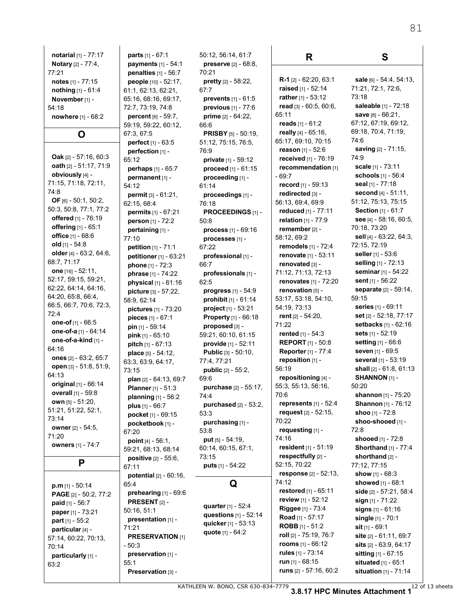| notarial [1] - 77:17                            |  |  |  |
|-------------------------------------------------|--|--|--|
| Notary [2] - 77:4,                              |  |  |  |
| 77:21                                           |  |  |  |
| notes [1] - 77:15                               |  |  |  |
| nothing [1] - 61:4                              |  |  |  |
| November [1] -                                  |  |  |  |
| 54:18                                           |  |  |  |
| <b>nowhere</b> $[1]$ - 68:2                     |  |  |  |
| O                                               |  |  |  |
|                                                 |  |  |  |
| Oak [2] - 57:16, 60:3                           |  |  |  |
| oath [2] - 51:17, 71:9                          |  |  |  |
| obviously [4] -                                 |  |  |  |
| 71:15, 71:18, 72:11,                            |  |  |  |
| 74:8                                            |  |  |  |
| OF $[6] - 50:1, 50:2,$                          |  |  |  |
| 50:3, 50:8, 77:1, 77:2                          |  |  |  |
| offered [1] - 76:19                             |  |  |  |
| offering [1] - 65:1                             |  |  |  |
| office [1] - 68:6                               |  |  |  |
| old [1] - 54:8                                  |  |  |  |
| older [4] - 63:2, 64:6,                         |  |  |  |
| 68:7, 71:17                                     |  |  |  |
| one [16] - 52:11,                               |  |  |  |
| 52:17, 59:15, 59:21,                            |  |  |  |
| 62:22, 64:14, 64:16,                            |  |  |  |
| 64:20, 65:8, 66:4,                              |  |  |  |
| 66:5, 66:7, 70:6, 72:3,                         |  |  |  |
| 72:4                                            |  |  |  |
| <b>one-of</b> [1] - 66:5                        |  |  |  |
| <b>one-of-a</b> [1] - 64:14                     |  |  |  |
| one-of-a-kind [1] -<br>64:16                    |  |  |  |
| ones [2] - 63:2, 65:7                           |  |  |  |
| open [3] - 51:8, 51:9,                          |  |  |  |
| 64:13                                           |  |  |  |
| original [1] - 66:14                            |  |  |  |
| <b>overall</b> [1] - 59:8                       |  |  |  |
| <b>own</b> [5] - 51:20,                         |  |  |  |
| 51:21, 51:22, 52:1,                             |  |  |  |
| 73:14                                           |  |  |  |
| owner [2] - 54:5,                               |  |  |  |
| 71:20                                           |  |  |  |
| owners [1] - 74:7                               |  |  |  |
| Р                                               |  |  |  |
|                                                 |  |  |  |
|                                                 |  |  |  |
| p.m [1] - 50:14                                 |  |  |  |
| <b>PAGE</b> [2] - 50:2, 77:2<br>paid [1] - 56:7 |  |  |  |
| paper [1] - 73:21                               |  |  |  |
| part [1] - 55:2                                 |  |  |  |
| particular [4] -                                |  |  |  |
| 57:14, 60:22, 70:13,                            |  |  |  |
| 70:14                                           |  |  |  |
| particularly [1] -                              |  |  |  |
| 63:2                                            |  |  |  |

**parts** [1] - 67:1 **payments** [1] - 54:1 **penalties** [1] - 56:7 **people** [10] - 52:17, 61:1, 62:13, 62:21, 65:16, 68:16, 69:17, 72:7, 73:19, 74:8 **percent** [6] - 59:7, 59:19, 59:22, 60:12, 67:3, 67:5 **perfect** [1] - 63:5 **perfection** [1] - 65:12 **perhaps** [1] - 65:7 **permanent** [1] - 54:12 **permit** [3] - 61:21, 62:15, 68:4 **permits** [1] - 67:21 **person** [1] - 72:2 **pertaining** [1] - 77:10 **petition** [1] - 71:1 **petitioner** [1] - 63:21 **phone** [1] - 72:3 **phrase** [1] - 74:22 **physical** [1] - 61:16 **picture** [3] - 57:22, 58:9, 62:14 **pictures** [1] - 73:20 **pieces** [1] - 67:1 **pin** [1] - 59:14 **pink** [1] - 65:10 **pitch** [1] - 67:13 **place** [5] - 54:12, 63:3, 63:9, 64:17, 73:15 **plan** [2] - 64:13, 69:7 **Planner** [1] - 51:3 **planning** [1] - 56:2 **plus** [1] - 66:7 **pocket** [1] - 69:15 **pocketbook** [1] - 67:20 **point** [4] - 56:1, 59:21, 68:13, 68:14 **positive** [2] - 55:6, 67:11 **potential** [2] - 60:16, 65:4 **prehearing** [1] - 69:6 **PRESENT** [2] - 50:16, 51:1 **presentation** [1] - 71:21 **PRESERVATION** [1] - 50:3 **preservation** [1] - 55:1 **Preservation** [3] -

50:12, 56:14, 61:7 **preserve** [2] - 68:8, 70:21 **pretty** [2] - 58:22, 67:7 **prevents** [1] - 61:5 **previous** [1] - 77:6 **prime** [2] - 64:22, 66:6 **PRISBY** [5] - 50:19, 51:12, 75:15, 76:5, 76:9 **private** [1] - 59:12 **proceed** [1] - 61:15 **proceeding** [1] - 61:14 **proceedings** [1] - 76:18 **PROCEEDINGS** [1] - 50:8 **process** [1] - 69:16 **processes** [1] - 67:22 **professional** [1] - 66:7 **professionals** [1] - 62:5 **progress** [1] - 54:9 **prohibit** [1] - 61:14 **project** [1] - 53:21 **Property** [1] - 66:18 **proposed** [3] - 59:21, 60:10, 61:15 **provide** [1] - 52:11 **Public** [3] - 50:10, 77:4, 77:21 **public** [2] - 55:2, 69:6 **purchase** [2] - 55:17, 74:4 **purchased** [2] - 53:2, 53:3 **purchasing** [1] - 53:8 **put** [5] - 54:19, 60:14, 60:15, 67:1, 73:15 **puts** [1] - 54:22 **Q quarter** [1] - 52:4 **questions** [1] - 52:14 **quicker** [1] - 53:13 **quote** [1] - 64:2

#### **R**

**R-1** [2] - 62:20, 63:1 **raised** [1] - 52:14 **rather** [1] - 53:12 **read** [3] - 60:5, 60:6, 65:11 **reads** [1] - 61:2 **really** [4] - 65:16, 65:17, 69:10, 70:15 **reason** [1] - 52:6 **received** [1] - 76:19 **recommendation** [1] - 69:7 **record** [1] - 59:13 **redirected** [3] - 56:13, 69:4, 69:9 **reduced** [1] - 77:11 **relation** [1] - 77:9 **remember** [2] - 58:12, 69:2 **remodels** [1] - 72:4 **renovate** [1] - 53:11 **renovated** [3] - 71:12, 71:13, 72:13 **renovates** [1] - 72:20 **renovation** [5] - 53:17, 53:18, 54:10, 54:19, 73:13 **rent** [2] - 54:20, 71:22 **rented** [1] - 54:3 **REPORT** [1] - 50:8 **Reporter** [1] - 77:4 **reposition** [1] - 56:19 **repositioning** [4] - 55:3, 55:13, 56:16, 70:6 **represents** [1] - 52:4 **request** [2] - 52:15, 70:22 **requesting** [1] - 74:16 **resident** [1] - 51:19 **respectfully** [2] - 52:15, 70:22 **response** [2] - 52:13, 74:12 **restored** [1] - 65:11 **review** [1] - 52:12 **Riggee** [1] - 73:4 **Road** [1] - 57:17 **ROBB** [1] - 51:2 **roll** [2] - 75:19, 76:7 **rooms** [1] - 66:12 **rules** [1] - 73:14 **run** [1] - 68:15 **runs** [2] - 57:16, 60:2

**sale** [6] - 54:4, 54:13, 71:21, 72:1, 72:6, 73:18 **saleable** [1] - 72:18 **save** [8] - 66:21, 67:12, 67:19, 69:12, 69:18, 70:4, 71:19, 74:6 **saving** [2] - 71:15, 74:9 **scale** [1] - 73:11 **schools** [1] - 56:4 **seal** [1] - 77:18 **second** [4] - 51:11, 51:12, 75:13, 75:15 **Section** [1] - 61:7 **see** [4] - 58:16, 60:5, 70:18, 73:20 **sell** [4] - 63:22, 64:3, 72:15, 72:19 **seller** [1] - 53:6 **selling** [1] - 72:13 **seminar** [1] - 54:22 **sent** [1] - 56:22 **separate** [2] - 59:14, 59:15 **series** [1] - 69:11 **set** [2] - 52:18, 77:17 **setbacks** [1] - 62:16 **sets** [1] - 52:19 **setting** [1] - 66:6 **seven** [1] - 69:5 **several** [1] - 53:19 **shall** [2] - 61:8, 61:13 **SHANNON** [1] - 50:20 **shannon** [1] - 75:20 **Shannon** [1] - 76:12 **shoo** [1] - 72:8 **shoo-shooed** [1] - 72:8 **shooed** [1] - 72:8 **Shorthand** [1] - 77:4 **shorthand** [2] - 77:12, 77:15 **show** [1] - 68:3 **showed** [1] - 68:1 **side** [2] - 57:21, 58:4 **sign** [1] - 71:22 **signs** [1] - 61:16 **single** [1] - 70:1 **sit** [1] - 69:1 **site** [2] - 61:11, 69:7 **sits** [2] - 63:9, 64:17 **sitting** [1] - 67:15 **situated** [1] - 65:1

**situation** [1] - 71:14

**S**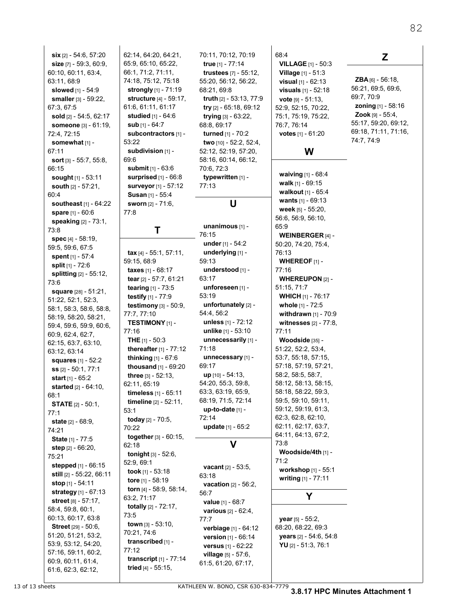| six [2] - 54:6, 57:20           |
|---------------------------------|
|                                 |
| size [7] - 59:3, 60:9,          |
| 60:10, 60:11, 63:4,             |
| 63:11, 68:9                     |
|                                 |
| slowed [1] - 54:9               |
| smaller [3] - 59:22,            |
| 67:3, 67:5                      |
| sold [2] - 54:5, 62:17          |
|                                 |
| someone [3] - 61:19,            |
| 72:4, 72:15                     |
| somewhat [1] -                  |
|                                 |
| 67:11                           |
| sort [3] - 55:7, 55:8,          |
| 66:15                           |
|                                 |
| <b>sought</b> [1] - 53:11       |
| south [2] - 57:21,              |
| 60:4                            |
| <b>southeast</b> [1] - 64:22    |
|                                 |
| spare [1] - 60:6                |
| speaking [2] - 73:1,            |
| 73:8                            |
|                                 |
| <b>spec</b> [4] - 58:19,        |
| 59:5, 59.6, 67:5                |
| spent [1] - 57:4                |
|                                 |
| split [1] - 72:6                |
| splitting [2] - 55:12,          |
| 73:6                            |
|                                 |
| <b>square</b> [28] - 51:21,     |
| 51:22, 52:1, 52:3,              |
| 58:1, 58:3, 58:6, 58:8,         |
| 58:19, 58:20, 58:21,            |
|                                 |
| 59:4, 59:6, 59:9, 60:6,         |
| 60:9, 62:4, 62:7,               |
| 62:15, 63:7, 63:10,             |
|                                 |
| 63:12, 63:14                    |
| squares [1] - 52:2              |
| ss [2] - 50:1, 77:1             |
|                                 |
| <b>start</b> [1] - 65:2         |
| <b>started</b> [2] - 64:10.     |
| 68.1                            |
| <b>STATE</b> [2] - 50:1,        |
|                                 |
| 77:1                            |
| <b>state</b> [2] - 68:9,        |
| 74.21                           |
|                                 |
| State [1] - 77:5                |
| step [2] - 66:20,               |
| 75:21                           |
|                                 |
| <b>stepped</b> [1] - 66:15      |
| <b>still</b> [2] - 55:22, 66:11 |
| <b>stop</b> [1] - 54:11         |
| strategy [1] - 67:13            |
|                                 |
|                                 |
| street [8] - 57:17,             |
|                                 |
| 58:4, 59:8, 60:1,               |
| 60:13, 60:17, 63:8              |
| Street [29] - 50:6,             |
| 51:20, 51:21, 53:2,             |
|                                 |
| 53:9, 53:12, 54:20,             |
| 57:16, 59:11, 60:2,             |
| 60:9, 60:11, 61:4,              |

```
62:14, 64:20, 64:21,
65:9, 65:10, 65:22,
66:1, 71:2, 71:11,
74:18, 75:12, 75:18
 strongly [1] - 71:19
 structure [4] - 59:17,
61:6, 61:11, 61:17
 studied [1] - 64:6
 sub [1] - 64:7
 subcontractors [1] -
53:22
 subdivision [1] -
69:6
 submit [1] - 63:6
 surprised [1] - 66:8
 surveyor [1] - 57:12
 Susan [1] - 55:4
 sworn [2] - 71:6,
77:8
           T
 tax [4] - 55:1, 57:11,
59:15, 68:9
 taxes [1] - 68:17
 tear [2] - 57:7, 61:21
 tearing [1] - 73:5
 testify [1] - 77:9
```
**testimony** [3] - 50:9,

77:7, 77:10 **TESTIMONY** [1] -

**THE** [1] - 50:3 **thereafter** [1] - 77:12 **thinking** [1] - 67:6 **thousand** [1] - 69:20 **three** [3] - 52:13, 62:11, 65:19

**timeless** [1] - 65:11 **timeline** [2] - 52:11,

**together** [3] - 60:15,

**tonight** [3] - 52:6,

**today** [2] - 70:5,

77:16

53:1

70:22

62:18

52:9, 69:1 **took** [1] - 53:18 **tore** [1] - 58:19 **torn** [4] - 58:9, 58:14,

63:2, 71:17 **totally** [2] - 72:17,

**town** [3] - 53:10, 70:21, 74:6 **transcribed** [1] -

**transcript** [1] - 77:14 **tried** [4] - 55:15,

73:5

77:12

```
70:11, 70:12, 70:19
 true [1] - 77:14
 trustees [7] - 55:12,
55:20, 56:12, 56:22,
68:21, 69:8
 truth [2] - 53:13, 77:9
 try [2] - 65:18, 69:12
 trying [3] - 63:22,
68:8, 69:17
 turned [1] - 70:2
 two [10] - 52:2, 52:4,
52:12, 52:19, 57:20,
58:16, 60:14, 66:12,
70:6, 72:3
 typewritten [1] -
77:13
```
# **U**

**unanimous** [1] - 76:15 **under** [1] - 54:2 **underlying** [1] - 59:13 **understood** [1] - 63:17 **unforeseen** [1] - 53:19 **unfortunately** [2] - 54:4, 56:2 **unless** [1] - 72:12 **unlike** [1] - 53:10 **unnecessarily** [1] - 71:18 **unnecessary** [1] - 69:17 **up** [10] - 54:13, 54:20, 55:3, 59:8, 63:3, 63:19, 65:9, 68:19, 71:5, 72:14 **up-to-date** [1] - 72:14 **update** [1] - 65:2 **V vacant** [2] - 53:5,

```
63:18
 vacation [2] - 56:2,
56:7
 value [1] - 68:7
 various [2] - 62:4,
77:7
 verbiage [1] - 64:12
 version [1] - 66:14
 versus [1] - 62:22
 village [5] - 57:6,
61:5, 61:20, 67:17,
```

```
68:4
 VILLAGE [1] - 50:3
 Village [1] - 51:3
 visual [1] - 62:13
 visuals [1] - 52:18
 vote [9] - 51:13,
52:9, 52:15, 70:22,
75:1, 75:19, 75:22,
76:7, 76:14
 votes [1] - 61:20
```
# **W**

**waiving** [1] - 68:4 **walk** [1] - 69:15 **walkout** [1] - 65:4 **wants** [1] - 69:13 **week** [5] - 55:20, 56:6, 56:9, 56:10, 65:9 **WEINBERGER** [4] - 50:20, 74:20, 75:4, 76:13 **WHEREOF** [1] - 77:16 **WHEREUPON** [2] - 51:15, 71:7 **WHICH** [1] - 76:17 **whole** [1] - 72:5 **withdrawn** [1] - 70:9 **witnesses** [2] - 77:8, 77:11 **Woodside** [35] - 51:22, 52:2, 53:4, 53:7, 55:18, 57:15, 57:18, 57:19, 57:21, 58:2, 58:5, 58:7, 58:12, 58:13, 58:15, 58:18, 58:22, 59:3, 59:5, 59:10, 59:11, 59:12, 59:19, 61:3, 62:3, 62:8, 62:10, 62:11, 62:17, 63:7, 64:11, 64:13, 67:2, 73:8 **Woodside/4th** [1] - 71:2 **workshop** [1] - 55:1 **writing** [1] - 77:11

# **Z**

```
ZBA [6] - 56:18,
56:21, 69:5, 69:6,
69:7, 70:9
 zoning [1] - 58:16
 Zook [9] - 55:4,
55:17, 59:20, 69:12,
69:18, 71:11, 71:16,
74:7, 74:9
```
**Y**

**year** [5] - 55:2, 68:20, 68:22, 69:3 **years** [2] - 54:6, 54:8 **YU** [2] - 51:3, 76:1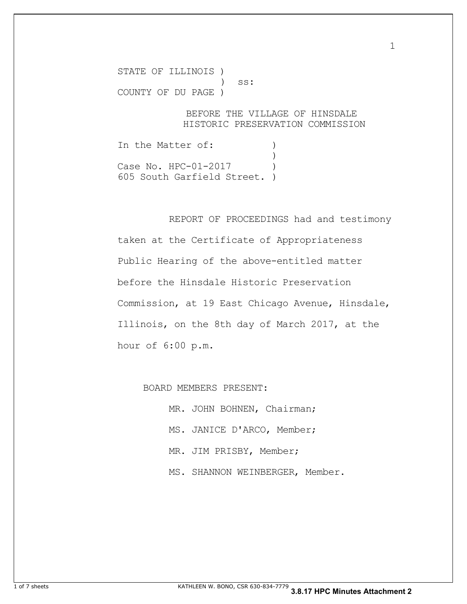STATE OF ILLINOIS ) ) ss: COUNTY OF DU PAGE )

#### BEFORE THE VILLAGE OF HINSDALE HISTORIC PRESERVATION COMMISSION

1

In the Matter of: (1)  $\overline{\phantom{a}}$ Case No. HPC-01-2017 605 South Garfield Street. )

 REPORT OF PROCEEDINGS had and testimony taken at the Certificate of Appropriateness Public Hearing of the above-entitled matter before the Hinsdale Historic Preservation Commission, at 19 East Chicago Avenue, Hinsdale, Illinois, on the 8th day of March 2017, at the hour of 6:00 p.m.

BOARD MEMBERS PRESENT:

MR. JOHN BOHNEN, Chairman; MS. JANICE D'ARCO, Member; MR. JIM PRISBY, Member; MS. SHANNON WEINBERGER, Member.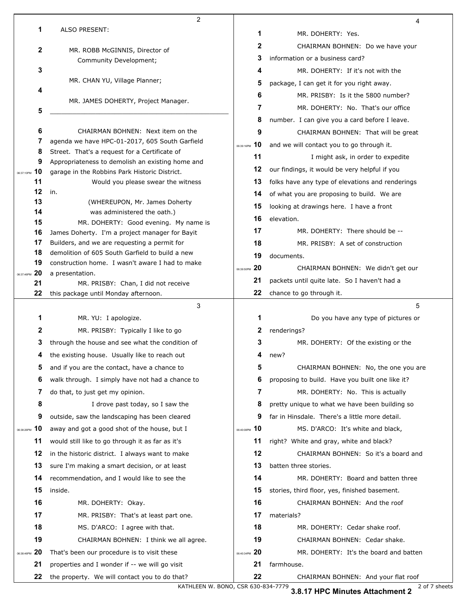|                        | $\overline{2}$                                                                                    |                   | 4                                                 |  |
|------------------------|---------------------------------------------------------------------------------------------------|-------------------|---------------------------------------------------|--|
| 1                      | <b>ALSO PRESENT:</b>                                                                              | 1                 | MR. DOHERTY: Yes.                                 |  |
| 2                      | MR. ROBB McGINNIS, Director of                                                                    | 2                 | CHAIRMAN BOHNEN: Do we have your                  |  |
|                        | Community Development;                                                                            | 3                 | information or a business card?                   |  |
| 3                      |                                                                                                   | 4                 | MR. DOHERTY: If it's not with the                 |  |
|                        | MR. CHAN YU, Village Planner;                                                                     | 5                 | package, I can get it for you right away.         |  |
| 4                      |                                                                                                   | 6                 | MR. PRISBY: Is it the 5800 number?                |  |
| 5                      | MR. JAMES DOHERTY, Project Manager.                                                               | 7                 | MR. DOHERTY: No. That's our office                |  |
|                        |                                                                                                   | 8                 | number. I can give you a card before I leave.     |  |
| 6                      | CHAIRMAN BOHNEN: Next item on the                                                                 | 9                 | CHAIRMAN BOHNEN: That will be great               |  |
| 7                      | agenda we have HPC-01-2017, 605 South Garfield                                                    | 10<br>06:39:16PM  | and we will contact you to go through it.         |  |
| 8                      | Street. That's a request for a Certificate of                                                     | 11                | I might ask, in order to expedite                 |  |
| 9<br>10                | Appropriateness to demolish an existing home and<br>garage in the Robbins Park Historic District. | 12                | our findings, it would be very helpful if you     |  |
| 06:37:10PM<br>11       | Would you please swear the witness                                                                | 13                | folks have any type of elevations and renderings  |  |
| 12                     | in.                                                                                               | 14                | of what you are proposing to build. We are        |  |
| 13                     | (WHEREUPON, Mr. James Doherty                                                                     | 15                | looking at drawings here. I have a front          |  |
| 14                     | was administered the oath.)                                                                       | 16                | elevation.                                        |  |
| 15<br>16               | MR. DOHERTY: Good evening. My name is                                                             | 17                | MR. DOHERTY: There should be --                   |  |
| 17                     | James Doherty. I'm a project manager for Bayit<br>Builders, and we are requesting a permit for    | 18                | MR. PRISBY: A set of construction                 |  |
| 18                     | demolition of 605 South Garfield to build a new                                                   | 19                | documents.                                        |  |
| 19                     | construction home. I wasn't aware I had to make                                                   | 20                |                                                   |  |
| 20<br>06:37:46PM       | a presentation.                                                                                   | 06:39:50PM<br>21  | CHAIRMAN BOHNEN: We didn't get our                |  |
| 21                     | MR. PRISBY: Chan, I did not receive                                                               |                   | packets until quite late. So I haven't had a      |  |
| 22                     | this package until Monday afternoon.                                                              | 22                | chance to go through it.                          |  |
|                        |                                                                                                   |                   |                                                   |  |
|                        | 3                                                                                                 |                   | 5                                                 |  |
| 1                      | MR. YU: I apologize.                                                                              | 1                 | Do you have any type of pictures or               |  |
| 2                      | MR. PRISBY: Typically I like to go                                                                | 2                 | renderings?                                       |  |
| 3                      | through the house and see what the condition of                                                   | 3                 | MR. DOHERTY: Of the existing or the               |  |
| 4                      | the existing house. Usually like to reach out                                                     | 4                 | new?                                              |  |
| 5                      | and if you are the contact, have a chance to                                                      | 5                 | CHAIRMAN BOHNEN: No, the one you are              |  |
| 6                      | walk through. I simply have not had a chance to                                                   | 6                 | proposing to build. Have you built one like it?   |  |
| 7                      | do that, to just get my opinion.                                                                  | 7                 | MR. DOHERTY: No. This is actually                 |  |
| 8                      | I drove past today, so I saw the                                                                  | 8                 | pretty unique to what we have been building so    |  |
| 9                      | outside, saw the landscaping has been cleared                                                     | 9                 | far in Hinsdale. There's a little more detail.    |  |
| 10<br>06:38:26PM       | away and got a good shot of the house, but I                                                      | 06:40:08PM 10     | MS. D'ARCO: It's white and black,                 |  |
| 11                     | would still like to go through it as far as it's                                                  | 11                | right? White and gray, white and black?           |  |
| 12                     | in the historic district. I always want to make                                                   | 12                | CHAIRMAN BOHNEN: So it's a board and              |  |
| 13                     | sure I'm making a smart decision, or at least                                                     | 13                | batten three stories.                             |  |
| 14                     | recommendation, and I would like to see the                                                       | 14                | MR. DOHERTY: Board and batten three               |  |
| 15                     | inside.                                                                                           | 15                | stories, third floor, yes, finished basement.     |  |
| 16                     | MR. DOHERTY: Okay.                                                                                | 16                | CHAIRMAN BOHNEN: And the roof                     |  |
| 17                     | MR. PRISBY: That's at least part one.                                                             | 17                | materials?                                        |  |
| 18                     | MS. D'ARCO: I agree with that.                                                                    | 18                | MR. DOHERTY: Cedar shake roof.                    |  |
| 19                     | CHAIRMAN BOHNEN: I think we all agree.                                                            | 19                | CHAIRMAN BOHNEN: Cedar shake.                     |  |
| 20                     | That's been our procedure is to visit these                                                       | -20<br>06:40:34PM | MR. DOHERTY: It's the board and batten            |  |
| 06:38:46PM<br>21<br>22 | properties and I wonder if -- we will go visit<br>the property. We will contact you to do that?   | 21<br>22          | farmhouse.<br>CHAIRMAN BOHNEN: And your flat roof |  |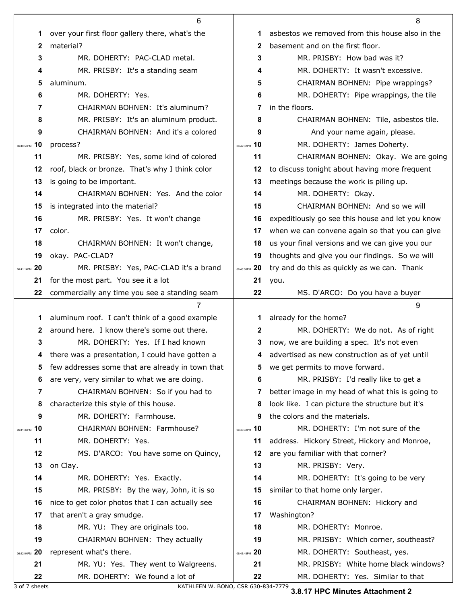|                   | 6                                                |               | 8                                                |
|-------------------|--------------------------------------------------|---------------|--------------------------------------------------|
| 1                 | over your first floor gallery there, what's the  | 1             | asbestos we removed from this house also in the  |
| $\mathbf{2}$      | material?                                        | 2             | basement and on the first floor.                 |
| 3                 | MR. DOHERTY: PAC-CLAD metal.                     |               | MR. PRISBY: How bad was it?                      |
| 4                 | MR. PRISBY: It's a standing seam                 |               | MR. DOHERTY: It wasn't excessive.                |
| 5                 | aluminum.                                        |               | CHAIRMAN BOHNEN: Pipe wrappings?                 |
| 6                 | MR. DOHERTY: Yes.                                |               | MR. DOHERTY: Pipe wrappings, the tile            |
| 7                 | CHAIRMAN BOHNEN: It's aluminum?                  |               | in the floors.                                   |
| 8                 | MR. PRISBY: It's an aluminum product.            |               | CHAIRMAN BOHNEN: Tile, asbestos tile.            |
| 9                 | CHAIRMAN BOHNEN: And it's a colored              | 9             | And your name again, please.                     |
| 10<br>06:40:56PM  | process?                                         | 06:42:32PM 10 | MR. DOHERTY: James Doherty.                      |
| 11                | MR. PRISBY: Yes, some kind of colored            | 11            | CHAIRMAN BOHNEN: Okay. We are going              |
| 12                | roof, black or bronze. That's why I think color  | 12            | to discuss tonight about having more frequent    |
| 13                | is going to be important.                        | 13            | meetings because the work is piling up.          |
| 14                | CHAIRMAN BOHNEN: Yes. And the color              | 14            | MR. DOHERTY: Okay.                               |
| 15                | is integrated into the material?                 | 15            | CHAIRMAN BOHNEN: And so we will                  |
| 16                | MR. PRISBY: Yes. It won't change                 | 16            | expeditiously go see this house and let you know |
| 17                | color.                                           | 17            | when we can convene again so that you can give   |
| 18                | CHAIRMAN BOHNEN: It won't change,                | 18            | us your final versions and we can give you our   |
| 19                | okay. PAC-CLAD?                                  | 19            | thoughts and give you our findings. So we will   |
| -20<br>06:41:14PM | MR. PRISBY: Yes, PAC-CLAD it's a brand           | 06:43:06PM 20 | try and do this as quickly as we can. Thank      |
| 21                | for the most part. You see it a lot              |               | you.                                             |
| 22                | commercially any time you see a standing seam    | 22            | MS. D'ARCO: Do you have a buyer                  |
|                   |                                                  |               |                                                  |
|                   | 7                                                |               | 9                                                |
| 1                 | aluminum roof. I can't think of a good example   | 1.            | already for the home?                            |
| $\mathbf{2}$      | around here. I know there's some out there.      | 2             | MR. DOHERTY: We do not. As of right              |
| 3                 | MR. DOHERTY: Yes. If I had known                 | 3             | now, we are building a spec. It's not even       |
|                   | there was a presentation, I could have gotten a  |               | advertised as new construction as of yet until   |
| 5                 | few addresses some that are already in town that | 5             | we get permits to move forward.                  |
| 6                 | are very, very similar to what we are doing.     | 6             | MR. PRISBY: I'd really like to get a             |
| 7                 | CHAIRMAN BOHNEN: So if you had to                | 7             | better image in my head of what this is going to |
| 8                 | characterize this style of this house.           | 8             | look like. I can picture the structure but it's  |
| 9                 | MR. DOHERTY: Farmhouse.                          | 9             | the colors and the materials.                    |
| 06:41:36PM 10     | CHAIRMAN BOHNEN: Farmhouse?                      | 06:43:32PM 10 | MR. DOHERTY: I'm not sure of the                 |
| 11                | MR. DOHERTY: Yes.                                | 11            | address. Hickory Street, Hickory and Monroe,     |
| 12                | MS. D'ARCO: You have some on Quincy,             | 12            | are you familiar with that corner?               |
| 13                | on Clay.                                         | 13            | MR. PRISBY: Very.                                |
| 14                | MR. DOHERTY: Yes. Exactly.                       | 14            | MR. DOHERTY: It's going to be very               |
| 15                | MR. PRISBY: By the way, John, it is so           | 15            | similar to that home only larger.                |
| 16                | nice to get color photos that I can actually see | 16            | CHAIRMAN BOHNEN: Hickory and                     |
| 17                | that aren't a gray smudge.                       | 17            | Washington?                                      |
| 18                | MR. YU: They are originals too.                  | 18            | MR. DOHERTY: Monroe.                             |
| 19                | CHAIRMAN BOHNEN: They actually                   | 19            | MR. PRISBY: Which corner, southeast?             |
| 06:42:04PM 20     | represent what's there.                          | 06:43:48PM 20 | MR. DOHERTY: Southeast, yes.                     |
| 21                | MR. YU: Yes. They went to Walgreens.             | 21            | MR. PRISBY: White home black windows?            |

3 of 7 sheets KATHLEEN W. BONO, CSR 630-834-7779

**3.8.17 HPC Minutes Attachment 2**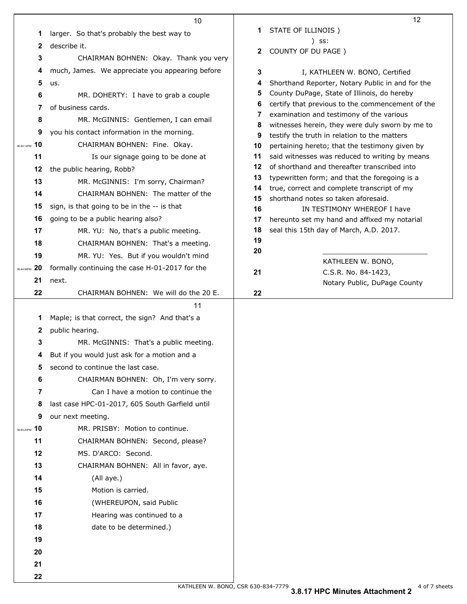|                  | 10                                              |          | 12                                                                                              |
|------------------|-------------------------------------------------|----------|-------------------------------------------------------------------------------------------------|
| 1                | larger. So that's probably the best way to      | 1.       | STATE OF ILLINOIS)                                                                              |
| 2                | describe it.                                    |          | ) SS:                                                                                           |
| 3                | CHAIRMAN BOHNEN: Okay. Thank you very           | 2        | COUNTY OF DU PAGE )                                                                             |
| 4                | much, James. We appreciate you appearing before | 3        | I, KATHLEEN W. BONO, Certified                                                                  |
| 5                | us.                                             | 4        | Shorthand Reporter, Notary Public in and for the                                                |
| 6                | MR. DOHERTY: I have to grab a couple            | 5        | County DuPage, State of Illinois, do hereby                                                     |
| 7                | of business cards.                              | 6        | certify that previous to the commencement of the                                                |
| 8                | MR. McGINNIS: Gentlemen, I can email            | 7        | examination and testimony of the various                                                        |
| 9                | you his contact information in the morning.     | 8<br>9   | witnesses herein, they were duly sworn by me to<br>testify the truth in relation to the matters |
| 10<br>06:44:14PM | CHAIRMAN BOHNEN: Fine. Okay.                    | 10       | pertaining hereto; that the testimony given by                                                  |
| 11               | Is our signage going to be done at              | 11       | said witnesses was reduced to writing by means                                                  |
| 12               | the public hearing, Robb?                       | 12       | of shorthand and thereafter transcribed into                                                    |
| 13               | MR. McGINNIS: I'm sorry, Chairman?              | 13       | typewritten form; and that the foregoing is a                                                   |
| 14               | CHAIRMAN BOHNEN: The matter of the              | 14<br>15 | true, correct and complete transcript of my<br>shorthand notes so taken aforesaid.              |
| 15               | sign, is that going to be in the -- is that     | 16       | IN TESTIMONY WHEREOF I have                                                                     |
| 16               | going to be a public hearing also?              | 17       | hereunto set my hand and affixed my notarial                                                    |
| 17               | MR. YU: No, that's a public meeting.            | 18       | seal this 15th day of March, A.D. 2017.                                                         |
| 18               | CHAIRMAN BOHNEN: That's a meeting.              | 19       |                                                                                                 |
| 19               | MR. YU: Yes. But if you wouldn't mind           | 20       |                                                                                                 |
| 06:44:56PM 20    | formally continuing the case H-01-2017 for the  | 21       | KATHLEEN W. BONO,<br>C.S.R. No. 84-1423,                                                        |
| 21               | next.                                           |          | Notary Public, DuPage County                                                                    |
| 22               | CHAIRMAN BOHNEN: We will do the 20 E.           | 22       |                                                                                                 |
|                  | 11                                              |          |                                                                                                 |
| 1                | Maple; is that correct, the sign? And that's a  |          |                                                                                                 |
| 2                | public hearing.                                 |          |                                                                                                 |
| 3                | MR. McGINNIS: That's a public meeting.          |          |                                                                                                 |
| 4                | But if you would just ask for a motion and a    |          |                                                                                                 |
| 5                | second to continue the last case.               |          |                                                                                                 |
| 6                | CHAIRMAN BOHNEN: Oh, I'm very sorry.            |          |                                                                                                 |
| 7                | Can I have a motion to continue the             |          |                                                                                                 |
| 8                | last case HPC-01-2017, 605 South Garfield until |          |                                                                                                 |
| 9                | our next meeting.                               |          |                                                                                                 |
| 06:45:20PM 10    | MR. PRISBY: Motion to continue.                 |          |                                                                                                 |
| 11               | CHAIRMAN BOHNEN: Second, please?                |          |                                                                                                 |
| 12               | MS. D'ARCO: Second.                             |          |                                                                                                 |
| 13               | CHAIRMAN BOHNEN: All in favor, aye.             |          |                                                                                                 |
| 14               | (All aye.)                                      |          |                                                                                                 |
| 15               | Motion is carried.                              |          |                                                                                                 |
| 16               | (WHEREUPON, said Public                         |          |                                                                                                 |
| 17               | Hearing was continued to a                      |          |                                                                                                 |
| 18               | date to be determined.)                         |          |                                                                                                 |
| 19               |                                                 |          |                                                                                                 |
| 20               |                                                 |          |                                                                                                 |
| 21               |                                                 |          |                                                                                                 |
| 22               |                                                 |          |                                                                                                 |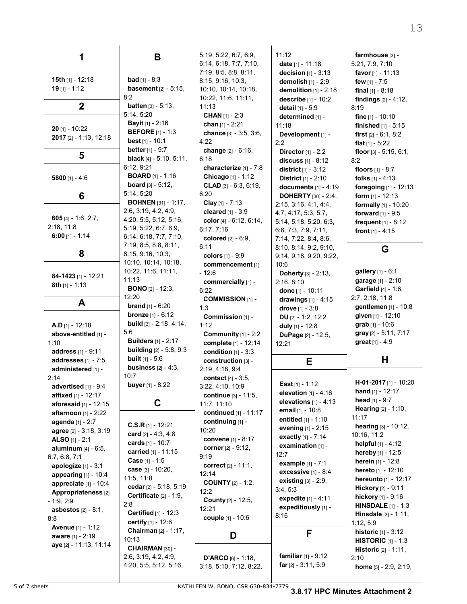| 1                             | B                                | 5:19, 5:22, 6:7, 6:9,<br>6:14, 6:18, 7:7, 7:10, | 11:12<br>date $[1] - 11:18$              | farmhouse [3] -<br>5:21, 7:9, 7:10 |
|-------------------------------|----------------------------------|-------------------------------------------------|------------------------------------------|------------------------------------|
|                               |                                  | 7:19, 8:5, 8:8, 8:11,                           | <b>decision</b> $[1] - 3.13$             | favor $[1] - 11.13$                |
| 15th [1] - 12:18              | <b>bad</b> $[1] - 8.3$           | 8:15, 9.16, 10.3,                               | demolish $[1] - 2:9$                     | few $[1] - 7:5$                    |
| $19$ [1] - 1:12               | <b>basement</b> $[2] - 5:15$ ,   | 10:10, 10:14, 10:18,                            | demolition $[1]$ - 2:18                  | final $[1] - 8.18$                 |
|                               | 8:2                              | 10:22, 11:6, 11:11,                             | describe [1] - 10:2                      | <b>findings</b> $[2] - 4:12$ ,     |
| $\overline{2}$                | <b>batten</b> $[3] - 5:13$ ,     | 11:13                                           | detail [1] - 5:9                         | 8:19                               |
|                               | 5:14, 5:20                       | <b>CHAN</b> [1] - 2:3                           | determined [1] -                         | <b>fine</b> $[1] - 10:10$          |
|                               | <b>Bayit</b> $[1] - 2:16$        | chan $[1] - 2:21$                               | 11:18                                    | finished $[1] - 5.15$              |
| $20$ [1] - 10:22              | <b>BEFORE</b> [1] - 1:3          | chance [3] - 3.5, 3.6,                          | Development [1] -                        | <b>first</b> $[2] - 6.1, 8.2$      |
| 2017 [2] - 1:13, 12:18        | <b>best</b> $[1] - 10.1$         | 4:22                                            | 2:2                                      | flat $[1] - 5.22$                  |
|                               | <b>better</b> $[1] - 9:7$        | change [2] - 6:16.                              | <b>Director</b> $[1] - 2:2$              | floor $[3] - 5.15, 6.1$ ,          |
| 5                             | <b>black</b> $[4] - 5.10, 5.11,$ | 6:18                                            | discuss $[1] - 8:12$                     | 8:2                                |
|                               | 6:12, 9:21                       | characterize [1] - 7:8                          | <b>district</b> $[1] - 3:12$             | <b>floors</b> $[1] - 8:7$          |
| 5800 $[1] - 4.6$              | <b>BOARD</b> [1] - 1:16          | Chicago [1] - 1:12                              | <b>District</b> $[1] - 2:10$             | <b>folks</b> $[1] - 4:13$          |
|                               | <b>board</b> $[3] - 5:12$ ,      | <b>CLAD</b> [3] $-6.3$ , 6:19,                  | documents $[1] - 4:19$                   | foregoing [1] - 12:13              |
| 6                             | 5:14, 5:20                       | 6:20                                            | <b>DOHERTY</b> [30] - 2:4,               | form $[1] - 12:13$                 |
|                               | <b>BOHNEN</b> [31] - 1:17,       | Clay $[1]$ - 7:13                               | 2:15, 3:16, 4:1, 4:4,                    | formally [1] - 10:20               |
|                               | 2:6, 3:19, 4:2, 4:9,             | cleared $[1] - 3.9$                             | 4.7, 4.17, 5.3, 5.7,                     | <b>forward</b> $[1] - 9.5$         |
| $605$ [4] - 1:6, 2:7,         | 4:20, 5:5, 5:12, 5:16,           | color [4] - 6:12, 6:14,                         | 5:14, 5:18, 5:20, 6:3,                   | frequent $[1] - 8:12$              |
| 2:18, 11:8                    | 5:19, 5:22, 6:7, 6:9,            | 6:17, 7:16                                      | 6.6, 7.3, 7.9, 7.11,                     | front $[1] - 4.15$                 |
| $6:00$ [1] - 1:14             | 6:14, 6:18, 7:7, 7:10,           | colored [2] - 6:9,                              | 7:14, 7:22, 8:4, 8:6,                    |                                    |
|                               | 7:19, 8:5, 8:8, 8:11,            | 6:11                                            | 8:10, 8:14, 9:2, 9:10,                   | G                                  |
| 8                             | 8:15, 9:16, 10:3,                | colors [1] - 9:9                                | 9:14, 9:18, 9:20, 9:22,                  |                                    |
|                               | 10:10, 10:14, 10:18,             | commencement [1]                                | 10:6                                     |                                    |
| 84-1423 [1] - 12:21           | 10:22, 11:6, 11:11,              | $-12:6$                                         | Doherty [3] - 2:13,                      | gallery [1] - 6:1                  |
| 8th [1] - 1:13                | 11:13                            | commercially [1] -                              | 2.16, 8.10                               | garage [1] - 2:10                  |
|                               | <b>BONO</b> $[2] - 12:3$         | 6:22                                            | done $[1] - 10:11$                       | <b>Garfield</b> [4] - 1:6,         |
| A                             | 12:20                            | <b>COMMISSION [1] -</b>                         | drawings [1] - 4:15                      | 2:7, 2:18, 11:8                    |
|                               | <b>brand</b> $[1] - 6:20$        | 1:3                                             | drove $[1] - 3.8$                        | gentlemen [1] - 10:8               |
|                               | <b>bronze</b> $[1] - 6:12$       | Commission [1] -                                | DU $[2] - 1:2, 12:2$                     | given [1] - 12:10                  |
| <b>A.D</b> $[1]$ - 12:18      | <b>build</b> $[3] - 2.18, 4.14,$ | 1:12                                            | duly [1] - 12:8                          | grab [1] - 10:6                    |
| above-entitled [1] -          | 5:6                              | Community $[1] - 2:2$                           | DuPage [2] - 12:5,                       | gray [2] - 5:11, 7:17              |
| 1:10                          | <b>Builders</b> [1] - 2:17       | complete [1] - 12:14                            | 12:21                                    | great [1] - 4:9                    |
| address [1] - 9:11            | <b>building</b> [2] - 5:8, 9:3   | condition $[1] - 3:3$                           |                                          |                                    |
| addresses [1] - 7:5           | <b>built</b> $[1] - 5.6$         | construction [3] -                              | E                                        | Н                                  |
| administered [1] -            | <b>business</b> $[2] - 4:3$ ,    | 2:19, 4:18, 9:4                                 |                                          |                                    |
| 2.14                          | 10:7                             | <b>contact</b> $[4] - 3.5$ ,                    | East $[1] - 1:12$                        | H-01-2017 [1] - 10:20              |
| advertised $[1] - 9.4$        | buyer [1] - 8:22                 | 3:22, 4:10, 10:9                                | elevation [1] - 4:16                     | <b>hand</b> $[1] - 12.17$          |
| affixed [1] - 12:17           |                                  | continue $[3] - 11.5$ ,                         | elevations $[1] - 4:13$                  | head $[1] - 9:7$                   |
| aforesaid [1] - 12:15         | C                                | 11:7, 11:10                                     | email [1] - 10:8                         | Hearing [2] - 1:10,                |
| <b>afternoon</b> [1] - 2:22   |                                  | continued [1] - 11:17                           | entitled [1] - 1:10                      | 11:17                              |
| agenda [1] - 2:7              | $C.S.R$ [1] - 12:21              | continuing [1] -                                | evening [1] - 2:15                       | hearing [3] - 10:12,               |
| agree [2] - 3:18, 3:19        | card $[2] - 4:3, 4:8$            | 10:20                                           | exactly [1] - 7:14                       | 10:16, 11:2                        |
| <b>ALSO</b> [1] - 2:1         | cards [1] - 10:7                 | <b>convene</b> [1] - 8:17                       | examination [1] -                        | helpful [1] - 4:12                 |
| <b>aluminum</b> $[4] - 6.5$ , | carried [1] - 11:15              | corner [2] - 9:12,                              | 12:7                                     | hereby [1] - 12:5                  |
| 6.7, 6.8, 7.1                 | Case [1] - 1:5                   | 9:19                                            |                                          | <b>herein</b> $[1] - 12.8$         |
| <b>apologize</b> $[1] - 3:1$  | case [3] - 10:20,                | correct $[2] - 11:1$ ,                          | example [1] - 7:1<br>excessive [1] - 8:4 | <b>hereto</b> $[1] - 12:10$        |
| appearing $[1] - 10.4$        | 11:5, 11:8                       | 12:14                                           | <b>existing</b> $[3] - 2:9$ ,            | <b>hereunto</b> [1] - 12:17        |
| appreciate [1] - 10:4         | cedar [2] - 5:18, 5:19           | <b>COUNTY</b> [2] - 1:2,                        | 3:4, 5:3                                 | <b>Hickory</b> [2] - 9:11          |
| Appropriateness [2]           | Certificate [2] - 1:9,           | 12:2                                            | expedite [1] - 4:11                      | hickory [1] - 9:16                 |
| $-1.9, 2.9$                   | 2:8                              | <b>County</b> [2] - 12:5,                       | expeditiously [1] -                      | <b>HINSDALE</b> $[1] - 1:3$        |
| <b>asbestos</b> $[2] - 8.1$ , | <b>Certified</b> $[1] - 12:3$    | 12:21                                           | 8:16                                     | <b>Hinsdale</b> $[3] - 1:11$ ,     |
| 8:8                           | certify [1] - 12:6               | couple [1] - 10:6                               |                                          | 1:12, 5:9                          |
| <b>Avenue</b> [1] - 1:12      | Chairman [2] - 1:17,             |                                                 | F                                        | <b>historic</b> $[1] - 3.12$       |
| aware [1] - 2:19              | 10:13                            | D                                               |                                          | <b>HISTORIC</b> $[1] - 1:3$        |
| aye [2] - 11:13, 11:14        | CHAIRMAN [30] -                  |                                                 |                                          | <b>Historic</b> $[2] - 1.11$ ,     |
|                               | 2:6, 3:19, 4:2, 4:9,             | <b>D'ARCO</b> [6] - 1:18,                       | <b>familiar</b> $[1] - 9.12$             | 2:10                               |
|                               | 4:20, 5:5, 5:12, 5:16,           | 3:18, 5:10, 7:12, 8:22,                         | <b>far</b> $[2] - 3:11, 5:9$             | home $[5] - 2.9, 2.19,$            |

5 of 7 sheets KATHLEEN W. BONO, CSR 630-834-7779 **3.8.17 HPC Minutes Attachment 2**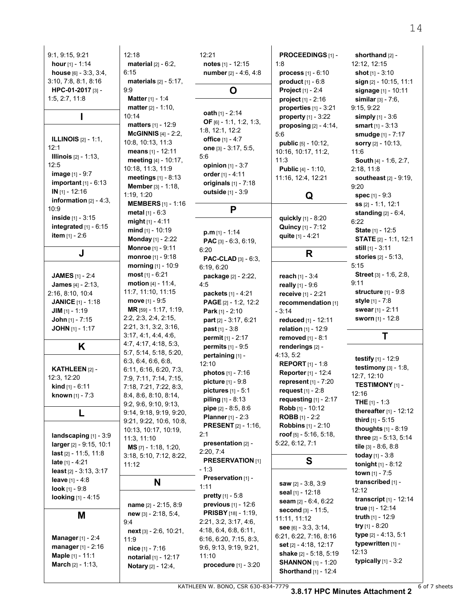| 9.1, 9.15, 9.21                  | 12:18                           | 12:21                       | PROCEEDINGS [1] -             | shorthand [2] -                 |
|----------------------------------|---------------------------------|-----------------------------|-------------------------------|---------------------------------|
| hour $[1] - 1:14$                | material $[2] - 6:2$ ,          | notes $[1] - 12:15$         | 1:8                           | 12:12, 12:15                    |
| house $[6] - 3.3, 3.4,$          | 6:15                            | number [2] - 4:6, 4:8       | <b>process</b> $[1] - 6:10$   | shot $[1] - 3:10$               |
| 3:10, 7:8, 8:1, 8:16             |                                 |                             | product $[1] - 6.8$           |                                 |
|                                  | <b>materials</b> $[2] - 5:17$ , |                             |                               | sign [2] - 10:15, 11:1          |
| HPC-01-2017 [3] -                | 9.9                             | O                           | <b>Project</b> $[1] - 2.4$    | signage [1] - 10:11             |
| 1:5, 2:7, 11:8                   | <b>Matter</b> [1] - 1:4         |                             | <b>project</b> $[1] - 2:16$   | <b>similar</b> $[3] - 7:6$ ,    |
|                                  | <b>matter</b> $[2] - 1:10$ ,    | oath $[1] - 2.14$           | properties $[1]$ - 3:21       | 9:15, 9:22                      |
| ı                                | 10:14                           | OF $[6] - 1:1, 1:2, 1:3,$   | property $[1] - 3:22$         | simply [1] - 3:6                |
|                                  | matters [1] - 12:9              |                             | proposing $[2] - 4:14$ ,      | smart $[1] - 3:13$              |
|                                  | <b>McGINNIS</b> $[4] - 2:2$ ,   | 1:8, 12:1, 12:2             | 5.6                           | smudge [1] - 7:17               |
| <b>ILLINOIS</b> $[2] - 1:1$ ,    | 10:8, 10:13, 11:3               | <b>office</b> [1] - 4:7     | <b>public</b> $[5] - 10:12$ , | sorry $[2] - 10:13$ ,           |
| 12:1                             | means [1] - 12:11               | one [3] - 3.17, 5.5,        | 10:16, 10:17, 11:2,           | 11:6                            |
| <b>Illinois</b> $[2] - 1:13$ ,   | meeting [4] - 10:17,            | 5:6                         | 11:3                          | <b>South</b> [4] - 1:6, 2:7,    |
| 12:5                             | 10:18, 11:3, 11:9               | <b>opinion</b> $[1] - 3:7$  | <b>Public</b> [4] - 1:10,     | 2:18, 11:8                      |
| image [1] - 9.7                  | <b>meetings</b> $[1] - 8.13$    | order $[1] - 4:11$          |                               |                                 |
| important $[1]$ - $6:13$         |                                 | originals $[1] - 7.18$      | 11:16, 12:4, 12:21            | <b>southeast</b> $[2] - 9:19$ , |
| $IN$ [1] - 12:16                 | Member [3] - 1:18,              | outside [1] - 3:9           |                               | 9:20                            |
| <b>information</b> $[2] - 4:3$ , | 1:19, 1:20                      |                             | Q                             | <b>spec</b> $[1] - 9:3$         |
| 10:9                             | <b>MEMBERS</b> [1] - 1:16       | P                           |                               | ss [2] - 1:1, 12:1              |
|                                  | <b>metal</b> $[1] - 6:3$        |                             |                               | standing $[2] - 6.4$ ,          |
| <b>inside</b> $[1] - 3.15$       | $might[1] - 4:11$               |                             | quickly [1] - 8:20            | 6.22                            |
| integrated [1] - 6:15            | mind $[1]$ - 10:19              | $p.m$ [1] - 1:14            | Quincy [1] - 7:12             | State [1] - 12:5                |
| <b>item</b> $[1] - 2.6$          | Monday [1] - 2:22               | PAC [3] - 6:3, 6:19,        | quite [1] - 4:21              | <b>STATE</b> [2] - 1.1, 12:1    |
|                                  | <b>Monroe</b> [1] - 9.11        | 6:20                        |                               | still $[1] - 3.11$              |
| J                                | monroe [1] - 9:18               |                             | R                             | <b>stories</b> $[2] - 5:13$ ,   |
|                                  | morning [1] - 10:9              | <b>PAC-CLAD</b> [3] - 6:3,  |                               | 5:15                            |
|                                  |                                 | 6:19, 6:20                  |                               |                                 |
| <b>JAMES</b> [1] - 2:4           | most $[1] - 6:21$               | package [2] - 2:22,         | <b>reach</b> $[1] - 3:4$      | <b>Street</b> $[3] - 1.6, 2.8$  |
| <b>James</b> $[4] - 2.13$ ,      | <b>motion</b> $[4] - 11.4$ ,    | 4:5                         | really $[1] - 9.6$            | 9:11                            |
| 2.16, 8.10, 10.4                 | 11:7, 11:10, 11:15              | packets [1] - 4:21          | receive [1] - 2:21            | structure $[1] - 9.8$           |
| <b>JANICE</b> [1] - 1:18         | move $[1] - 9:5$                | PAGE [2] - 1:2, 12:2        | recommendation [1]            | <b>style</b> [1] - 7:8          |
| JIM $[1] - 1:19$                 | MR [59] - 1:17, 1:19,           | <b>Park</b> [1] - $2:10$    | $-3:14$                       | swear [1] - 2:11                |
| <b>John</b> $[1] - 7:15$         | 2:2, 2:3, 2:4, 2:15,            | part [2] - 3:17, 6:21       | reduced [1] - 12:11           | <b>sworn</b> [1] - 12:8         |
| <b>JOHN</b> [1] - 1:17           | 2:21, 3:1, 3:2, 3:16,           | $past_{[1]} - 3.8$          | relation $[1] - 12.9$         |                                 |
|                                  | 3:17, 4:1, 4:4, 4:6,            | <b>permit</b> $[1] - 2:17$  | removed [1] - 8:1             | Τ                               |
| Κ                                | 4:7, 4:17, 4:18, 5:3,           | <b>permits</b> $[1] - 9.5$  | renderings [2] -              |                                 |
|                                  | 5:7, 5:14, 5:18, 5:20,          |                             |                               |                                 |
|                                  | 6:3, 6:4, 6:6, 6:8,             | pertaining [1] -            | 4:13, 5:2                     | testify $[1]$ - 12:9            |
| KATHLEEN [2] -                   | 6:11, 6:16, 6:20, 7:3,          | 12:10                       | <b>REPORT</b> $[1] - 1.8$     | testimony $[3] - 1.8$ ,         |
| 12:3, 12:20                      | 7:9, 7:11, 7:14, 7:15,          | photos [1] - 7:16           | Reporter [1] - 12:4           | 12:7, 12:10                     |
| <b>kind</b> $[1] - 6.11$         | 7:18, 7:21, 7:22, 8:3,          | picture [1] - 9:8           | represent [1] - 7:20          | <b>TESTIMONY</b> [1] -          |
| known [1] - 7:3                  | 8:4, 8:6, 8:10, 8:14,           | <b>pictures</b> $[1] - 5.1$ | request $[1] - 2.8$           | 12:16                           |
|                                  |                                 | <b>piling</b> $[1] - 8.13$  | requesting $[1]$ - 2:17       | <b>THE</b> $[1] - 1:3$          |
|                                  | 9:2, 9:6, 9:10, 9:13,           | pipe [2] - 8:5, 8:6         | Robb [1] - 10:12              | <b>thereafter</b> $[1] - 12:12$ |
| L                                | 9:14, 9:18, 9:19, 9:20,         | <b>Planner</b> $[1] - 2:3$  | <b>ROBB</b> $[1] - 2:2$       |                                 |
|                                  | 9:21, 9:22, 10:6, 10:8,         | <b>PRESENT</b> [2] - 1:16,  | <b>Robbins</b> [1] - 2:10     | third $[1] - 5.15$              |
|                                  | 10:13, 10:17, 10:19,            | 2:1                         | roof $[5] - 5.16, 5.18$       | <b>thoughts</b> $[1] - 8:19$    |
| landscaping [1] - 3:9            | 11:3, 11:10                     | presentation [2] -          | 5:22, 6:12, 7:1               | three [2] - 5:13, 5:14          |
| larger [2] - 9:15, 10:1          | MS [7] - 1:18, 1:20,            |                             |                               | tile $[3] - 8.6, 8.8$           |
| <b>last</b> $[2] - 11.5, 11.8$   | 3:18, 5:10, 7:12, 8:22,         | 2:20, 7:4                   |                               | today $[1] - 3.8$               |
| <b>late</b> $[1] - 4:21$         | 11:12                           | <b>PRESERVATION [1]</b>     | S                             | <b>tonight</b> $[1] - 8:12$     |
| least $[2] - 3.13, 3.17$         |                                 | $-1:3$                      |                               | <b>town</b> $[1] - 7.5$         |
| <b>leave</b> $[1] - 4:8$         | N                               | Preservation [1] -          |                               | transcribed [1] -               |
| <b>look</b> $[1] - 9.8$          |                                 | 1:11                        | saw [2] - 3:8, 3:9            | 12:12                           |
| looking [1] - 4:15               |                                 | <b>pretty</b> $[1] - 5.8$   | seal [1] - 12:18              |                                 |
|                                  | name $[2] - 2:15, 8:9$          | previous [1] - 12.6         | seam $[2] - 6.4, 6.22$        | <b>transcript</b> $[1] - 12:14$ |
| M                                | new [3] - 2:18, 5:4,            | <b>PRISBY</b> [18] - 1:19,  | second [3] - 11:5,            | true [1] - 12:14                |
|                                  | 9.4                             | 2:21, 3:2, 3:17, 4:6,       | 11:11, 11:12                  | truth $[1] - 12.9$              |
|                                  | $next[3] - 2:6, 10:21,$         | 4:18, 6:4, 6:8, 6:11,       | see $[6] - 3.3, 3.14,$        | try $[1] - 8.20$                |
| <b>Manager</b> [1] - 2:4         | 11:9                            | 6:16, 6:20, 7:15, 8:3,      | 6:21, 6:22, 7:16, 8:16        | type [2] - 4:13, 5:1            |
| <b>manager</b> $[1] - 2:16$      |                                 |                             | <b>set</b> [2] - 4:18, 12:17  | typewritten [1] -               |
| Maple [1] - 11:1                 | $nice_{[1]} - 7:16$             | 9:6, 9:13, 9:19, 9:21,      | shake [2] - 5:18, 5:19        | 12:13                           |
|                                  | notarial [1] - 12:17            | 11:10                       | <b>SHANNON</b> [1] - 1:20     | typically $[1]$ - 3:2           |
| <b>March</b> $[2] - 1.13$ ,      | <b>Notary</b> $[2] - 12:4$ ,    | procedure $[1] - 3:20$      | <b>Shorthand</b> [1] - 12:4   |                                 |
|                                  |                                 |                             |                               |                                 |